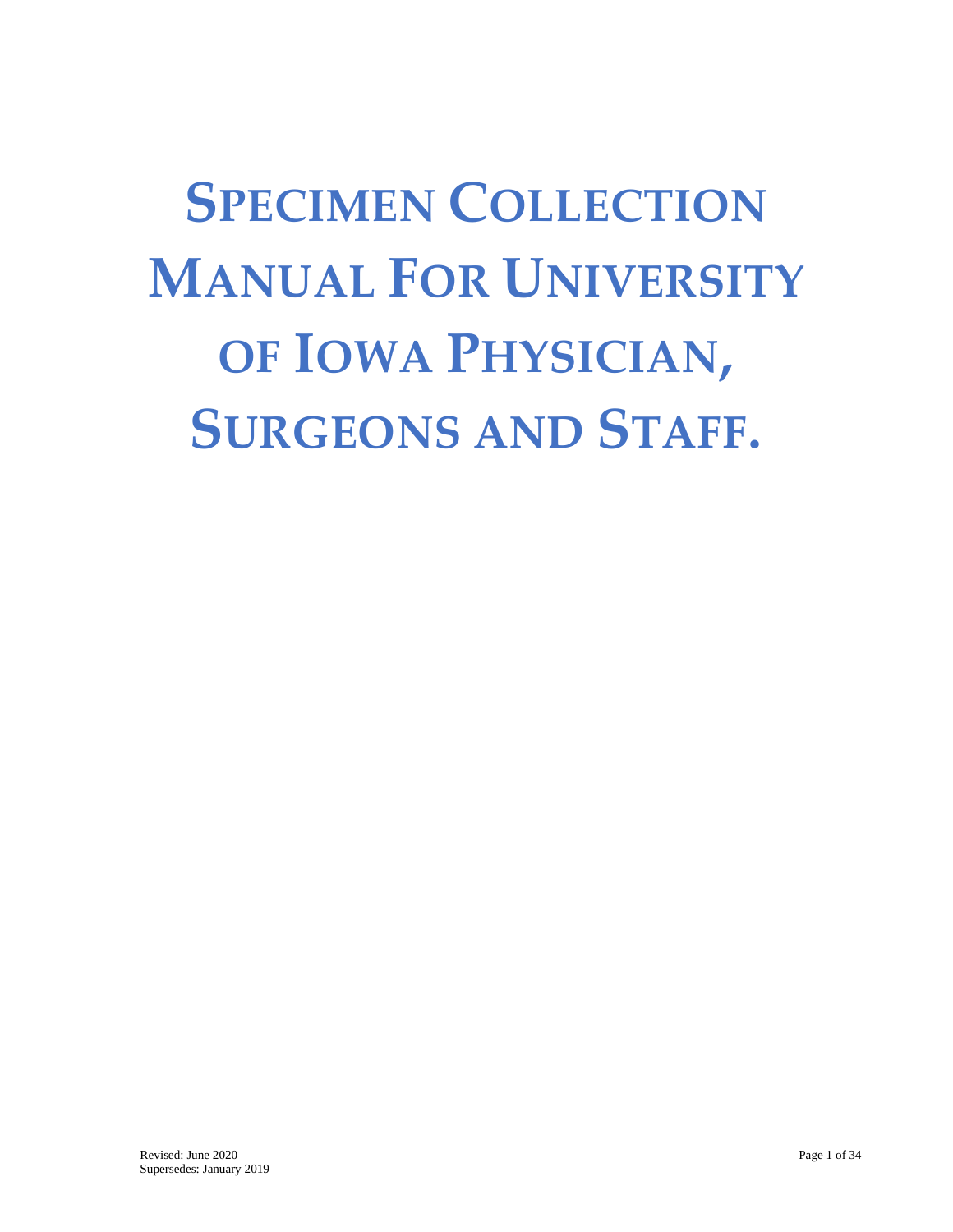# **SPECIMEN COLLECTION MANUAL FOR UNIVERSITY OF IOWA PHYSICIAN, SURGEONS AND STAFF.**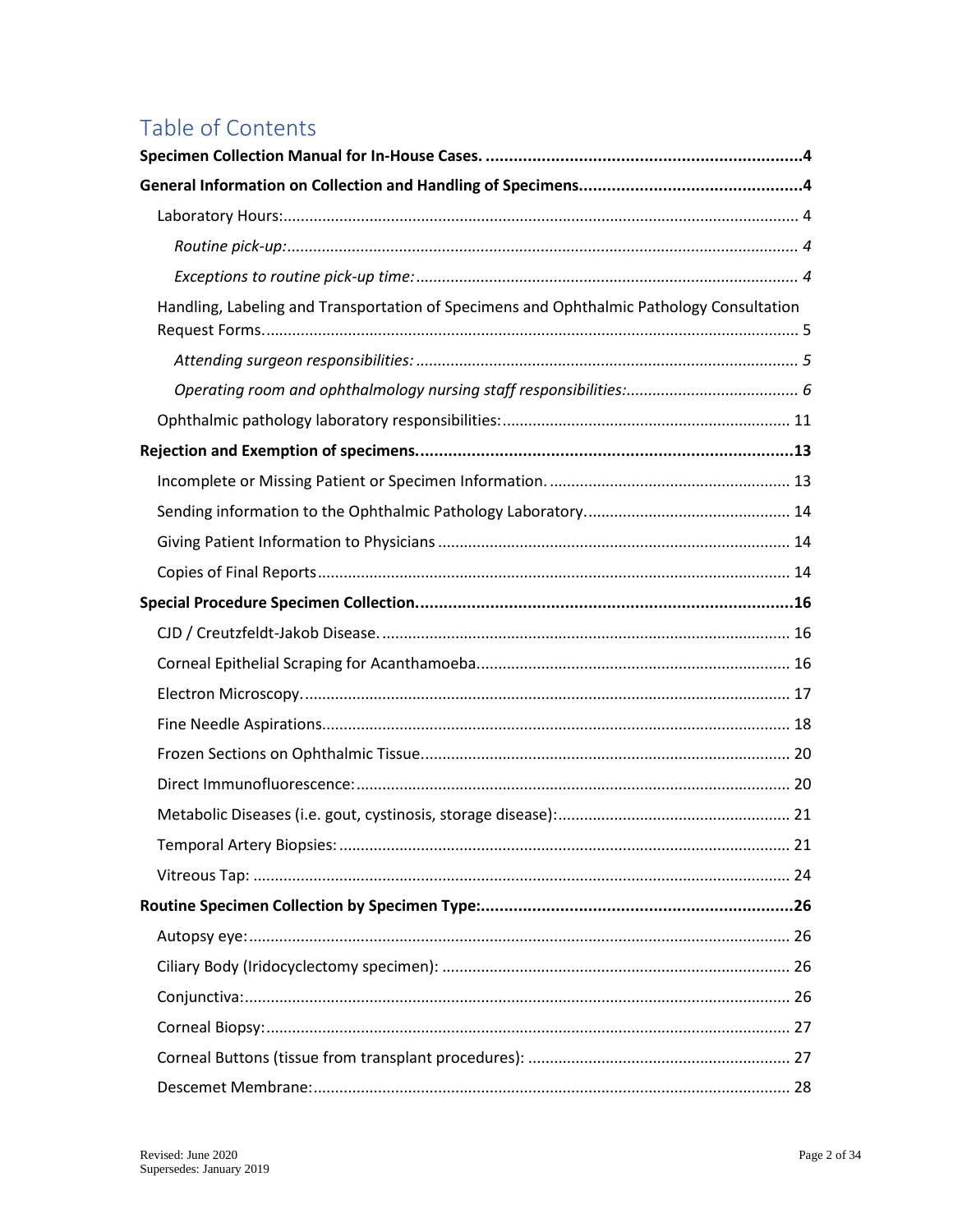## Table of Contents

| Handling, Labeling and Transportation of Specimens and Ophthalmic Pathology Consultation |  |
|------------------------------------------------------------------------------------------|--|
|                                                                                          |  |
|                                                                                          |  |
|                                                                                          |  |
|                                                                                          |  |
|                                                                                          |  |
|                                                                                          |  |
|                                                                                          |  |
|                                                                                          |  |
|                                                                                          |  |
|                                                                                          |  |
|                                                                                          |  |
|                                                                                          |  |
|                                                                                          |  |
|                                                                                          |  |
|                                                                                          |  |
|                                                                                          |  |
|                                                                                          |  |
|                                                                                          |  |
|                                                                                          |  |
|                                                                                          |  |
|                                                                                          |  |
|                                                                                          |  |
|                                                                                          |  |
|                                                                                          |  |
|                                                                                          |  |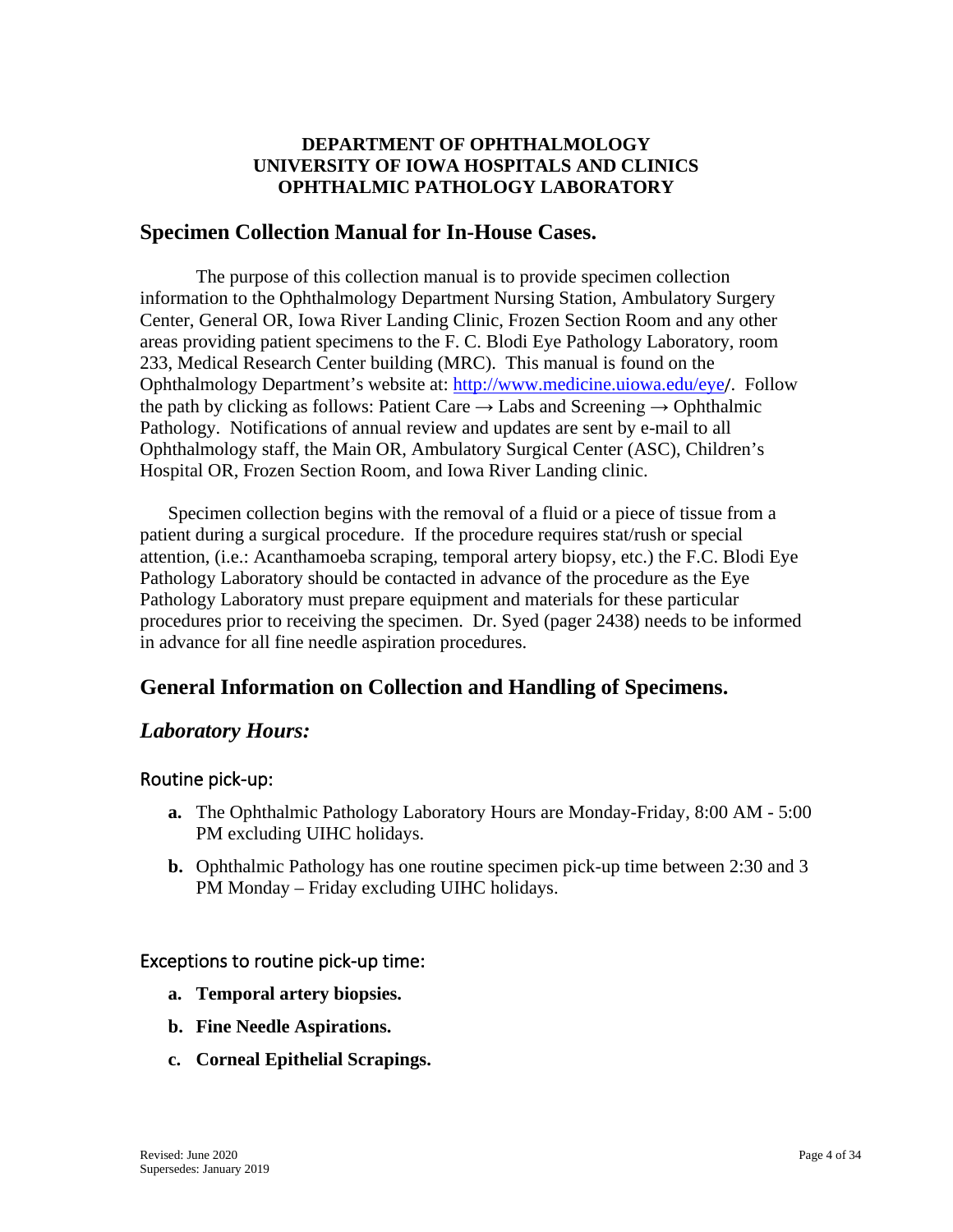## **DEPARTMENT OF OPHTHALMOLOGY UNIVERSITY OF IOWA HOSPITALS AND CLINICS OPHTHALMIC PATHOLOGY LABORATORY**

## <span id="page-3-0"></span>**Specimen Collection Manual for In-House Cases.**

The purpose of this collection manual is to provide specimen collection information to the Ophthalmology Department Nursing Station, Ambulatory Surgery Center, General OR, Iowa River Landing Clinic, Frozen Section Room and any other areas providing patient specimens to the F. C. Blodi Eye Pathology Laboratory, room 233, Medical Research Center building (MRC). This manual is found on the Ophthalmology Department's website at:<http://www.medicine.uiowa.edu/eye>/. Follow the path by clicking as follows: Patient Care  $\rightarrow$  Labs and Screening  $\rightarrow$  Ophthalmic Pathology. Notifications of annual review and updates are sent by e-mail to all Ophthalmology staff, the Main OR, Ambulatory Surgical Center (ASC), Children's Hospital OR, Frozen Section Room, and Iowa River Landing clinic.

Specimen collection begins with the removal of a fluid or a piece of tissue from a patient during a surgical procedure. If the procedure requires stat/rush or special attention, (i.e.: Acanthamoeba scraping, temporal artery biopsy, etc.) the F.C. Blodi Eye Pathology Laboratory should be contacted in advance of the procedure as the Eye Pathology Laboratory must prepare equipment and materials for these particular procedures prior to receiving the specimen. Dr. Syed (pager 2438) needs to be informed in advance for all fine needle aspiration procedures.

## <span id="page-3-1"></span>**General Information on Collection and Handling of Specimens.**

## <span id="page-3-2"></span>*Laboratory Hours:*

## <span id="page-3-3"></span>Routine pick-up:

- **a.** The Ophthalmic Pathology Laboratory Hours are Monday-Friday, 8:00 AM 5:00 PM excluding UIHC holidays.
- **b.** Ophthalmic Pathology has one routine specimen pick-up time between 2:30 and 3 PM Monday – Friday excluding UIHC holidays.

#### <span id="page-3-4"></span>Exceptions to routine pick-up time:

- **a. Temporal artery biopsies.**
- **b. Fine Needle Aspirations.**
- **c. Corneal Epithelial Scrapings.**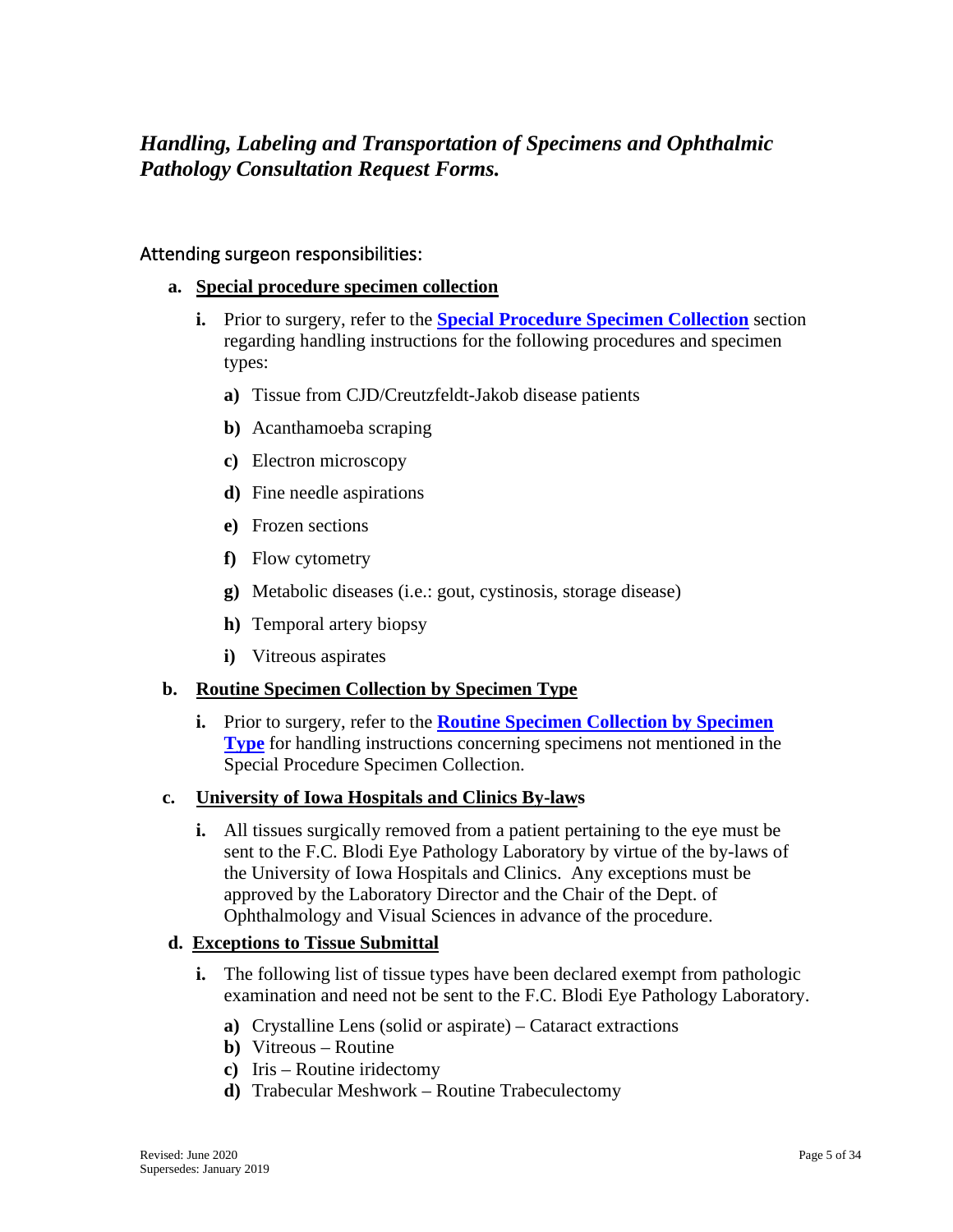## <span id="page-4-0"></span>*Handling, Labeling and Transportation of Specimens and Ophthalmic Pathology Consultation Request Forms.*

#### <span id="page-4-1"></span>Attending surgeon responsibilities:

- **a. Special procedure specimen collection**
	- **i.** Prior to surgery, refer to the **[Special Procedure Specimen Collection](#page-15-0)** section regarding handling instructions for the following procedures and specimen types:
		- **a)** Tissue from CJD/Creutzfeldt-Jakob disease patients
		- **b)** Acanthamoeba scraping
		- **c)** Electron microscopy
		- **d)** Fine needle aspirations
		- **e)** Frozen sections
		- **f)** Flow cytometry
		- **g)** Metabolic diseases (i.e.: gout, cystinosis, storage disease)
		- **h)** Temporal artery biopsy
		- **i)** Vitreous aspirates

#### **b. Routine Specimen Collection by Specimen Type**

**i.** Prior to surgery, refer to the **[Routine Specimen Collection](#page-25-0) by Specimen [Type](#page-25-0)** for handling instructions concerning specimens not mentioned in the Special Procedure Specimen Collection.

#### **c. University of Iowa Hospitals and Clinics By-laws**

**i.** All tissues surgically removed from a patient pertaining to the eye must be sent to the F.C. Blodi Eye Pathology Laboratory by virtue of the by-laws of the University of Iowa Hospitals and Clinics. Any exceptions must be approved by the Laboratory Director and the Chair of the Dept. of Ophthalmology and Visual Sciences in advance of the procedure.

#### **d. Exceptions to Tissue Submittal**

- **i.** The following list of tissue types have been declared exempt from pathologic examination and need not be sent to the F.C. Blodi Eye Pathology Laboratory.
	- **a)** Crystalline Lens (solid or aspirate) Cataract extractions
	- **b)** Vitreous Routine
	- **c)** Iris Routine iridectomy
	- **d)** Trabecular Meshwork Routine Trabeculectomy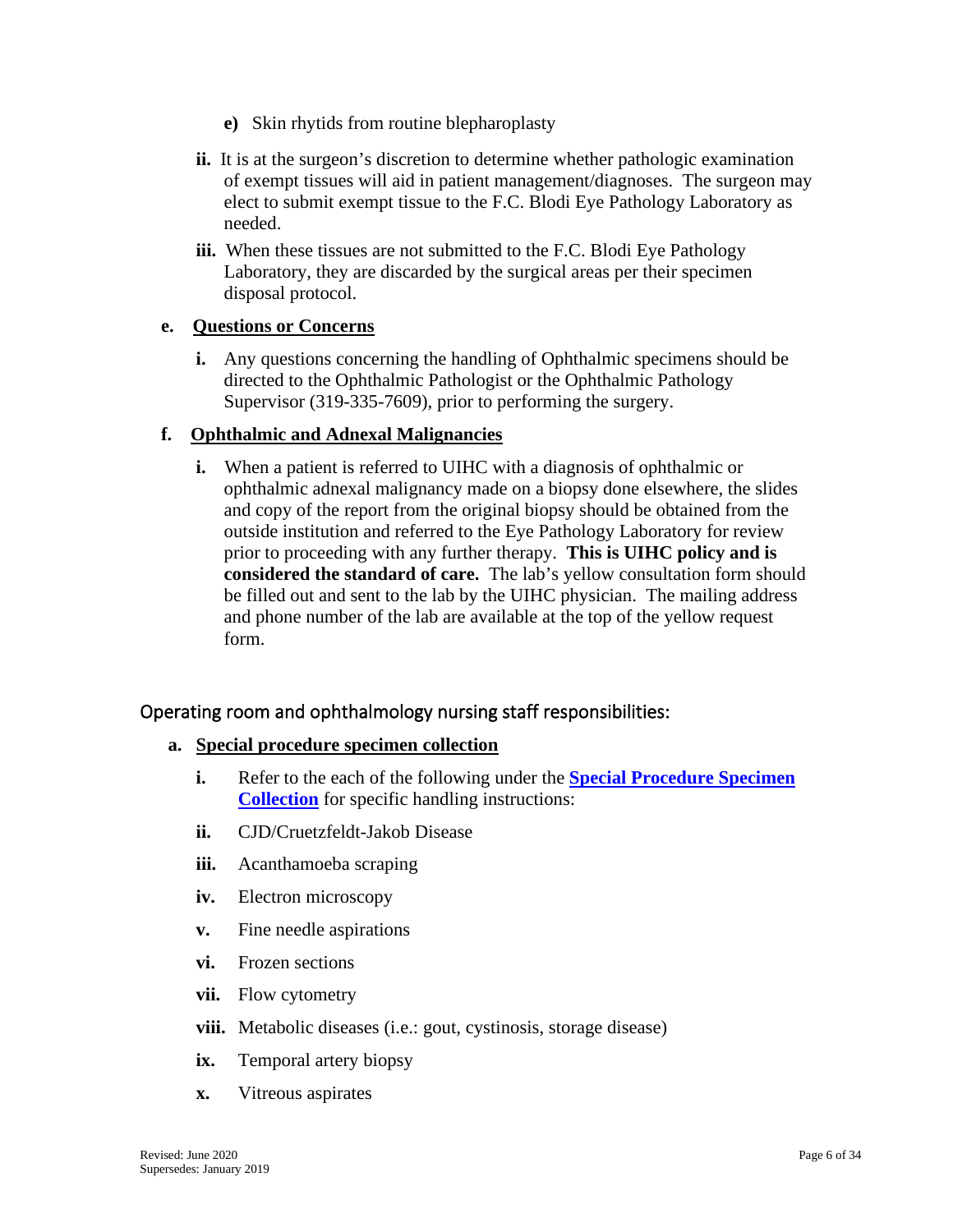- **e)** Skin rhytids from routine blepharoplasty
- **ii.** It is at the surgeon's discretion to determine whether pathologic examination of exempt tissues will aid in patient management/diagnoses. The surgeon may elect to submit exempt tissue to the F.C. Blodi Eye Pathology Laboratory as needed.
- **iii.** When these tissues are not submitted to the F.C. Blodi Eye Pathology Laboratory, they are discarded by the surgical areas per their specimen disposal protocol.

#### **e. Questions or Concerns**

**i.** Any questions concerning the handling of Ophthalmic specimens should be directed to the Ophthalmic Pathologist or the Ophthalmic Pathology Supervisor (319-335-7609), prior to performing the surgery.

#### **f. Ophthalmic and Adnexal Malignancies**

**i.** When a patient is referred to UIHC with a diagnosis of ophthalmic or ophthalmic adnexal malignancy made on a biopsy done elsewhere, the slides and copy of the report from the original biopsy should be obtained from the outside institution and referred to the Eye Pathology Laboratory for review prior to proceeding with any further therapy. **This is UIHC policy and is considered the standard of care.** The lab's yellow consultation form should be filled out and sent to the lab by the UIHC physician. The mailing address and phone number of the lab are available at the top of the yellow request form.

## <span id="page-5-0"></span>Operating room and ophthalmology nursing staff responsibilities:

#### **a. Special procedure specimen collection**

- **i.** Refer to the each of the following under the **Special Procedure Specimen [Collection](#page-15-0)** for specific handling instructions:
- **ii.** CJD/Cruetzfeldt-Jakob Disease
- **iii.** Acanthamoeba scraping
- **iv.** Electron microscopy
- **v.** Fine needle aspirations
- **vi.** Frozen sections
- **vii.** Flow cytometry
- **viii.** Metabolic diseases (i.e.: gout, cystinosis, storage disease)
- **ix.** Temporal artery biopsy
- **x.** Vitreous aspirates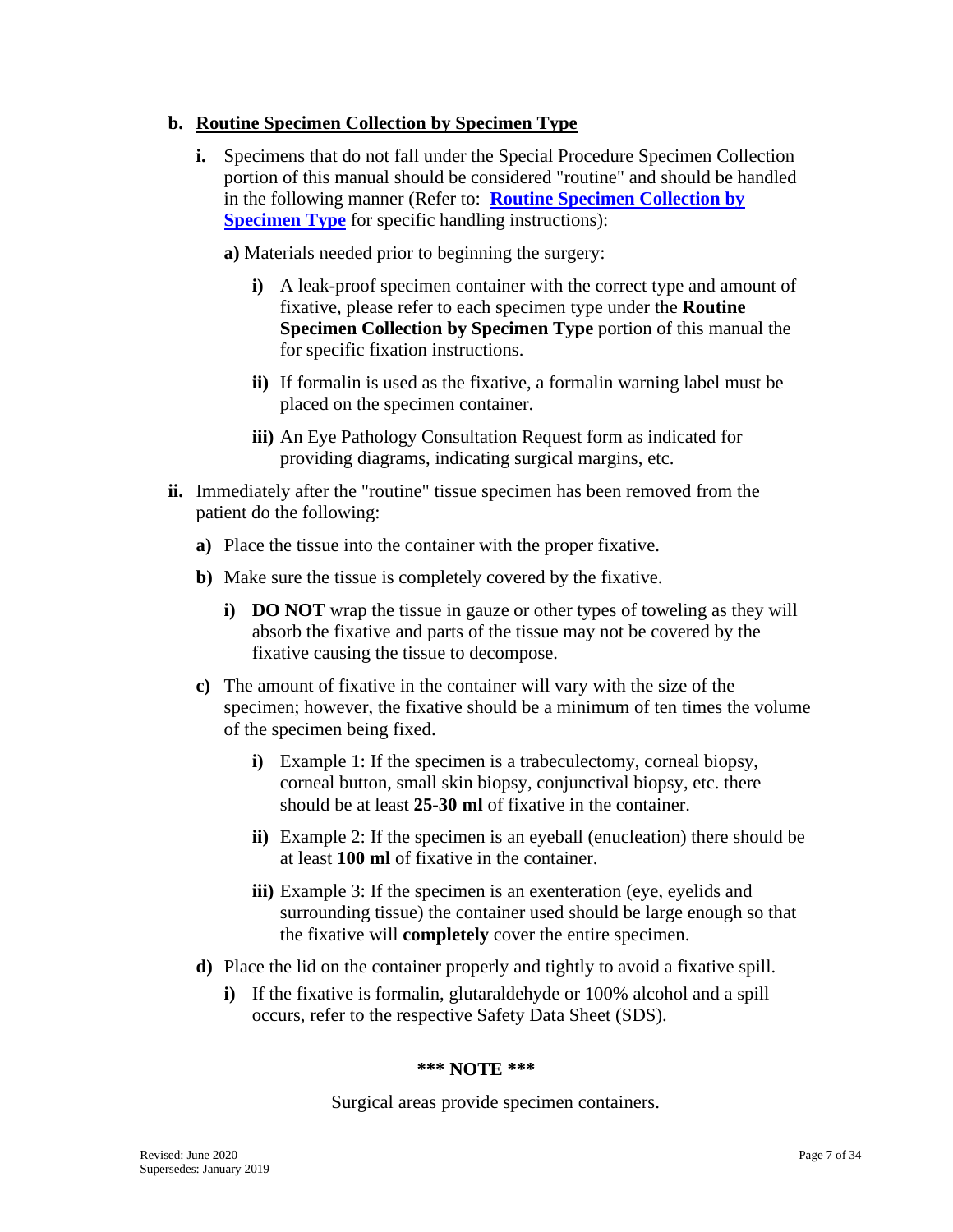#### **b. Routine Specimen Collection by Specimen Type**

**i.** Specimens that do not fall under the Special Procedure Specimen Collection portion of this manual should be considered "routine" and should be handled in the following manner (Refer to: **[Routine Specimen Collection by](#page-25-0)  [Specimen Type](#page-25-0)** for specific handling instructions):

**a)** Materials needed prior to beginning the surgery:

- **i)** A leak-proof specimen container with the correct type and amount of fixative, please refer to each specimen type under the **Routine Specimen Collection by Specimen Type** portion of this manual the for specific fixation instructions.
- **ii)** If formalin is used as the fixative, a formalin warning label must be placed on the specimen container.
- **iii)** An Eye Pathology Consultation Request form as indicated for providing diagrams, indicating surgical margins, etc.
- **ii.** Immediately after the "routine" tissue specimen has been removed from the patient do the following:
	- **a)** Place the tissue into the container with the proper fixative.
	- **b)** Make sure the tissue is completely covered by the fixative.
		- **i) DO NOT** wrap the tissue in gauze or other types of toweling as they will absorb the fixative and parts of the tissue may not be covered by the fixative causing the tissue to decompose.
	- **c)** The amount of fixative in the container will vary with the size of the specimen; however, the fixative should be a minimum of ten times the volume of the specimen being fixed.
		- **i)** Example 1: If the specimen is a trabeculectomy, corneal biopsy, corneal button, small skin biopsy, conjunctival biopsy, etc. there should be at least **25-30 ml** of fixative in the container.
		- **ii)** Example 2: If the specimen is an eyeball (enucleation) there should be at least **100 ml** of fixative in the container.
		- **iii**) Example 3: If the specimen is an exenteration (eye, eyelids and surrounding tissue) the container used should be large enough so that the fixative will **completely** cover the entire specimen.
	- **d)** Place the lid on the container properly and tightly to avoid a fixative spill.
		- **i)** If the fixative is formalin, glutaraldehyde or 100% alcohol and a spill occurs, refer to the respective Safety Data Sheet (SDS).

#### **\*\*\* NOTE \*\*\***

Surgical areas provide specimen containers.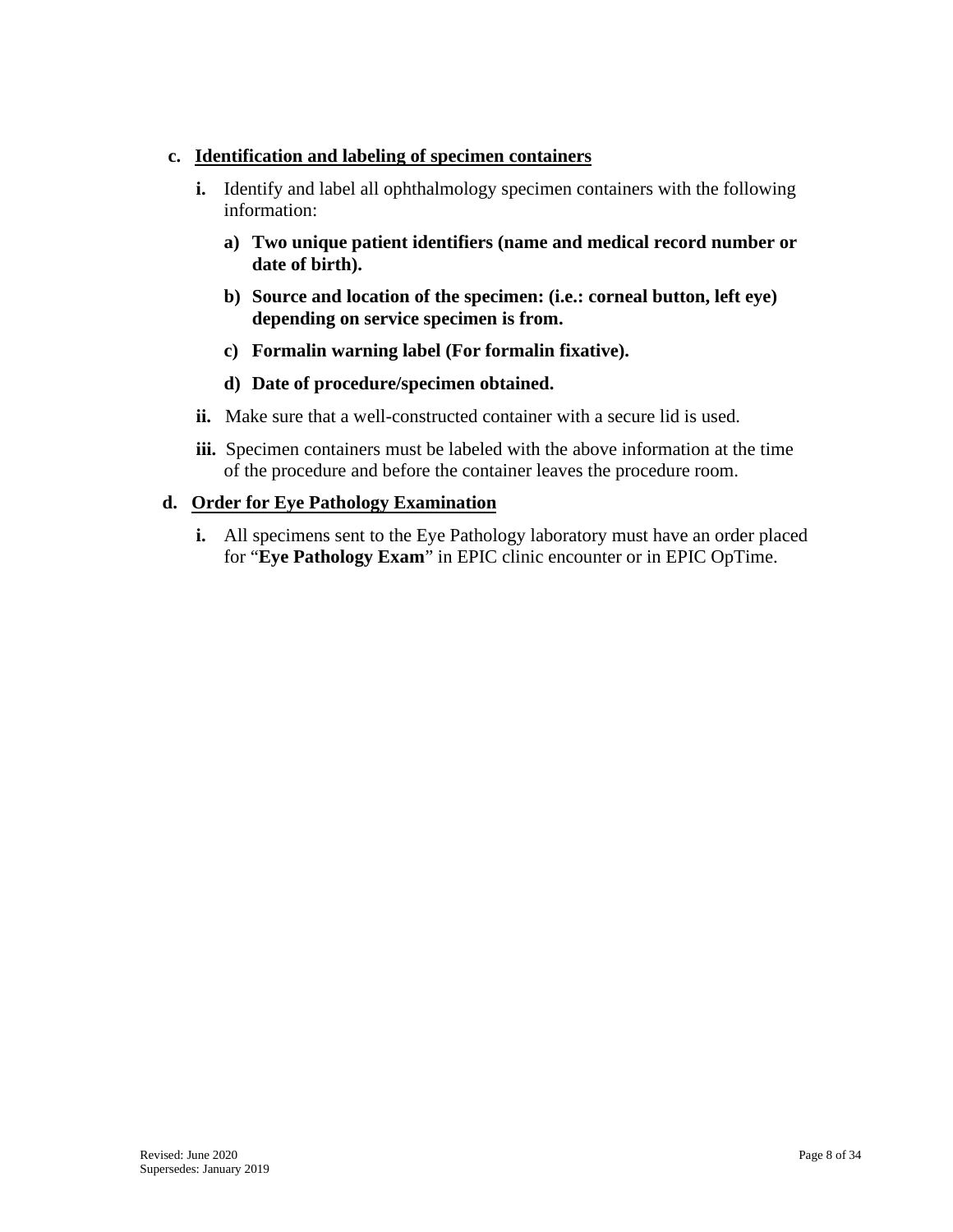#### **c. Identification and labeling of specimen containers**

- **i.** Identify and label all ophthalmology specimen containers with the following information:
	- **a) Two unique patient identifiers (name and medical record number or date of birth).**
	- **b) Source and location of the specimen: (i.e.: corneal button, left eye) depending on service specimen is from.**
	- **c) Formalin warning label (For formalin fixative).**
	- **d) Date of procedure/specimen obtained.**
- **ii.** Make sure that a well-constructed container with a secure lid is used.
- **iii.** Specimen containers must be labeled with the above information at the time of the procedure and before the container leaves the procedure room.

#### **d. Order for Eye Pathology Examination**

**i.** All specimens sent to the Eye Pathology laboratory must have an order placed for "**Eye Pathology Exam**" in EPIC clinic encounter or in EPIC OpTime.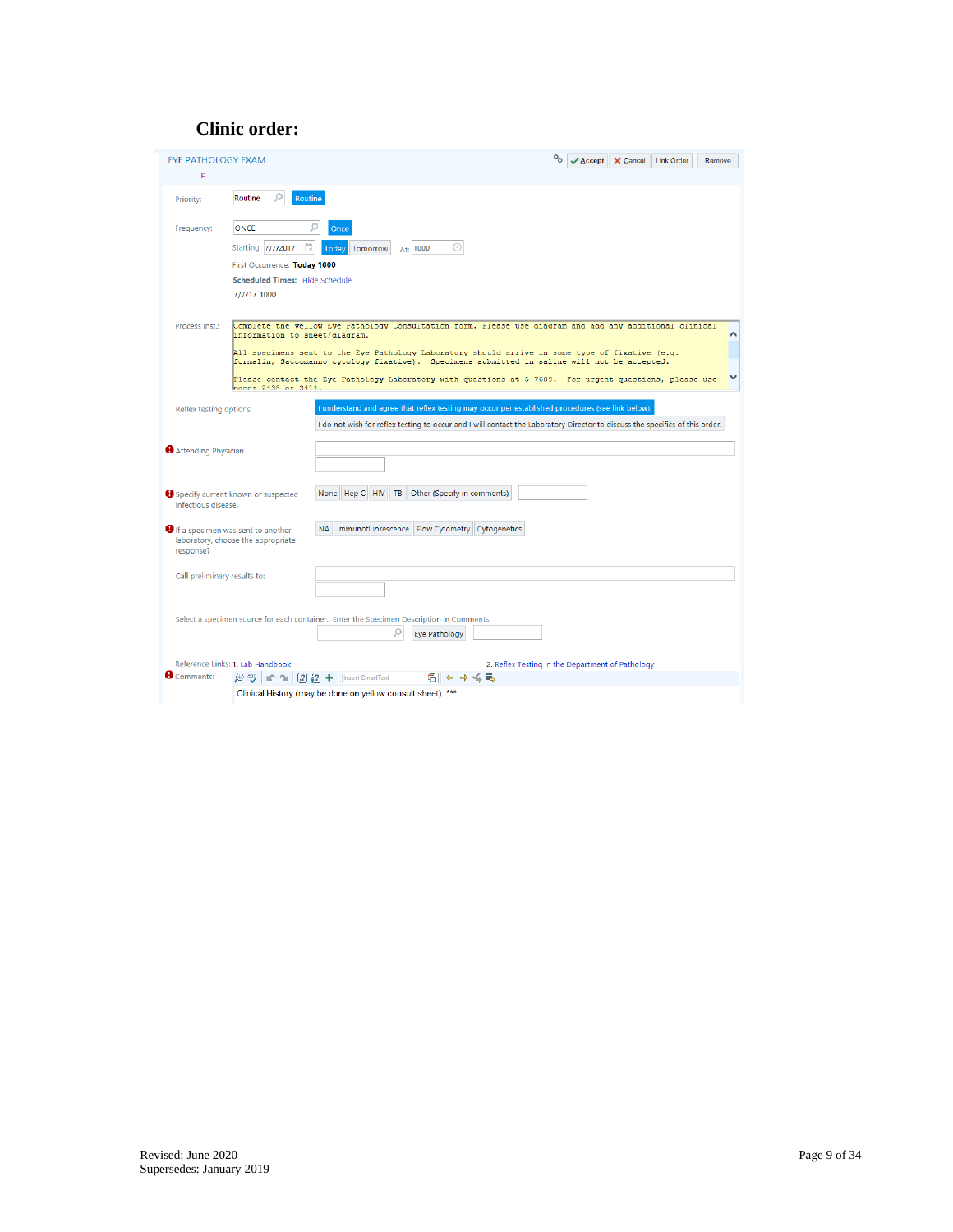## **Clinic order:**

| <b>EYE PATHOLOGY EXAM</b><br>P                                                       |                                                                                                                                                                                                                                                                                                                                                                                                                                                                              | ୄ<br>$\vee$ Accept | X Cancel | <b>Link Order</b> | Remove |
|--------------------------------------------------------------------------------------|------------------------------------------------------------------------------------------------------------------------------------------------------------------------------------------------------------------------------------------------------------------------------------------------------------------------------------------------------------------------------------------------------------------------------------------------------------------------------|--------------------|----------|-------------------|--------|
| Priority:                                                                            | Ω<br>Routine<br><b>Routine</b>                                                                                                                                                                                                                                                                                                                                                                                                                                               |                    |          |                   |        |
| Frequency:                                                                           | <b>ONCE</b><br>Once<br>ö<br>⋒<br>Starting: 7/7/2017<br>Today<br>Tomorrow<br>At: 1000                                                                                                                                                                                                                                                                                                                                                                                         |                    |          |                   |        |
|                                                                                      | First Occurrence: Today 1000<br><b>Scheduled Times: Hide Schedule</b><br>7/7/17 1000                                                                                                                                                                                                                                                                                                                                                                                         |                    |          |                   |        |
| Process Inst.:                                                                       | Complete the yellow Eye Pathology Consultation form. Please use diagram and add any additional clinical<br>information to sheet/diagram.<br>All specimens sent to the Eye Pathology Laboratory should arrive in some type of fixative (e.g.<br>formalin, Saccomanno cytology fixative). Specimens submitted in saline will not be accepted.<br>Please contact the Eye Pathology Laboratory with questions at 5-7609. For urgent questions, please use<br>mager 2438 or 3414. |                    |          |                   |        |
| Reflex testing options                                                               | I understand and agree that reflex testing may occur per established procedures (see link below).<br>I do not wish for reflex testing to occur and I will contact the Laboratory Director to discuss the specifics of this order.                                                                                                                                                                                                                                            |                    |          |                   |        |
| Attending Physician                                                                  |                                                                                                                                                                                                                                                                                                                                                                                                                                                                              |                    |          |                   |        |
| Specify current known or suspected<br>infectious disease.                            | Hep C HIV<br>Other (Specify in comments)<br>TB<br>None                                                                                                                                                                                                                                                                                                                                                                                                                       |                    |          |                   |        |
| If a specimen was sent to another<br>laboratory, choose the appropriate<br>response? | NA   Immunofluorescence   Flow Cytometry   Cytogenetics                                                                                                                                                                                                                                                                                                                                                                                                                      |                    |          |                   |        |
| Call preliminary results to:                                                         |                                                                                                                                                                                                                                                                                                                                                                                                                                                                              |                    |          |                   |        |
|                                                                                      | Select a specimen source for each container. Enter the Specimen Description in Comments.<br><b>Eye Pathology</b>                                                                                                                                                                                                                                                                                                                                                             |                    |          |                   |        |
| Reference Links: 1, Lab Handbook<br>Comments:                                        | 2. Reflex Testing in the Department of Pathology<br>$\bigoplus$ $\bigoplus$ $\bigotimes$   $\bigotimes$ $\bigcap$ $\bigcap$ $\bigcap$ $\bigcap$ $\bigcap$ $\bigoplus$ $\bigoplus$ $\bigoplus$ $\bigoplus$ for SmartText<br>ē<br>← ⇒ ≦ = ⇒                                                                                                                                                                                                                                    |                    |          |                   |        |
|                                                                                      | Clinical History (may be done on yellow consult sheet): ***                                                                                                                                                                                                                                                                                                                                                                                                                  |                    |          |                   |        |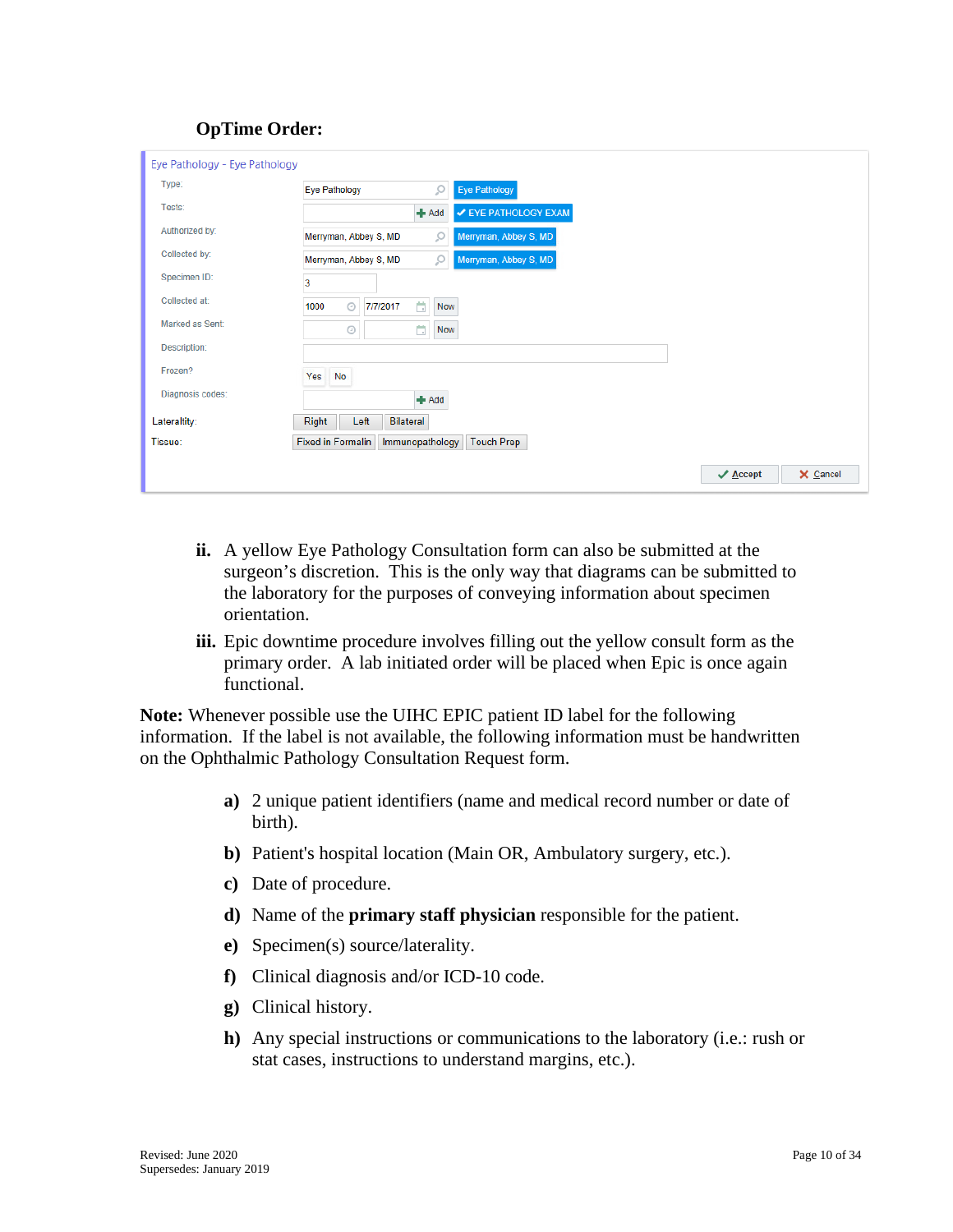#### **OpTime Order:**

| Eye Pathology - Eye Pathology |                                                           |
|-------------------------------|-----------------------------------------------------------|
| Type:                         | ρ<br><b>Eye Pathology</b><br><b>Eye Pathology</b>         |
| Tests:                        | $+$ Add<br>✔ EYE PATHOLOGY EXAM                           |
| Authorized by:                | Ω<br>Merryman, Abbey S, MD<br>Merryman, Abbey S, MD       |
| Collected by:                 | Q<br>Merryman, Abbey S, MD<br>Merryman, Abbey S, MD       |
| Specimen ID:                  | 3                                                         |
| Collected at:                 | ä.<br>$\odot$<br>1000<br>7/7/2017<br>Now                  |
| Marked as Sent:               | ä<br>Ø<br><b>Now</b>                                      |
| Description:                  |                                                           |
| Frozen?                       | Yes No                                                    |
| Diagnosis codes:              | $#$ Add                                                   |
| Lateraltity:                  | Right<br>Left<br><b>Bilateral</b>                         |
| Tissue:                       | <b>Fixed in Formalin</b><br>Immunopathology<br>Touch Prep |

- **ii.** A yellow Eye Pathology Consultation form can also be submitted at the surgeon's discretion. This is the only way that diagrams can be submitted to the laboratory for the purposes of conveying information about specimen orientation.
- **iii.** Epic downtime procedure involves filling out the yellow consult form as the primary order. A lab initiated order will be placed when Epic is once again functional.

**Note:** Whenever possible use the UIHC EPIC patient ID label for the following information. If the label is not available, the following information must be handwritten on the Ophthalmic Pathology Consultation Request form.

- **a)** 2 unique patient identifiers (name and medical record number or date of birth).
- **b)** Patient's hospital location (Main OR, Ambulatory surgery, etc.).
- **c)** Date of procedure.
- **d)** Name of the **primary staff physician** responsible for the patient.
- **e)** Specimen(s) source/laterality.
- **f)** Clinical diagnosis and/or ICD-10 code.
- **g)** Clinical history.
- **h)** Any special instructions or communications to the laboratory (i.e.: rush or stat cases, instructions to understand margins, etc.).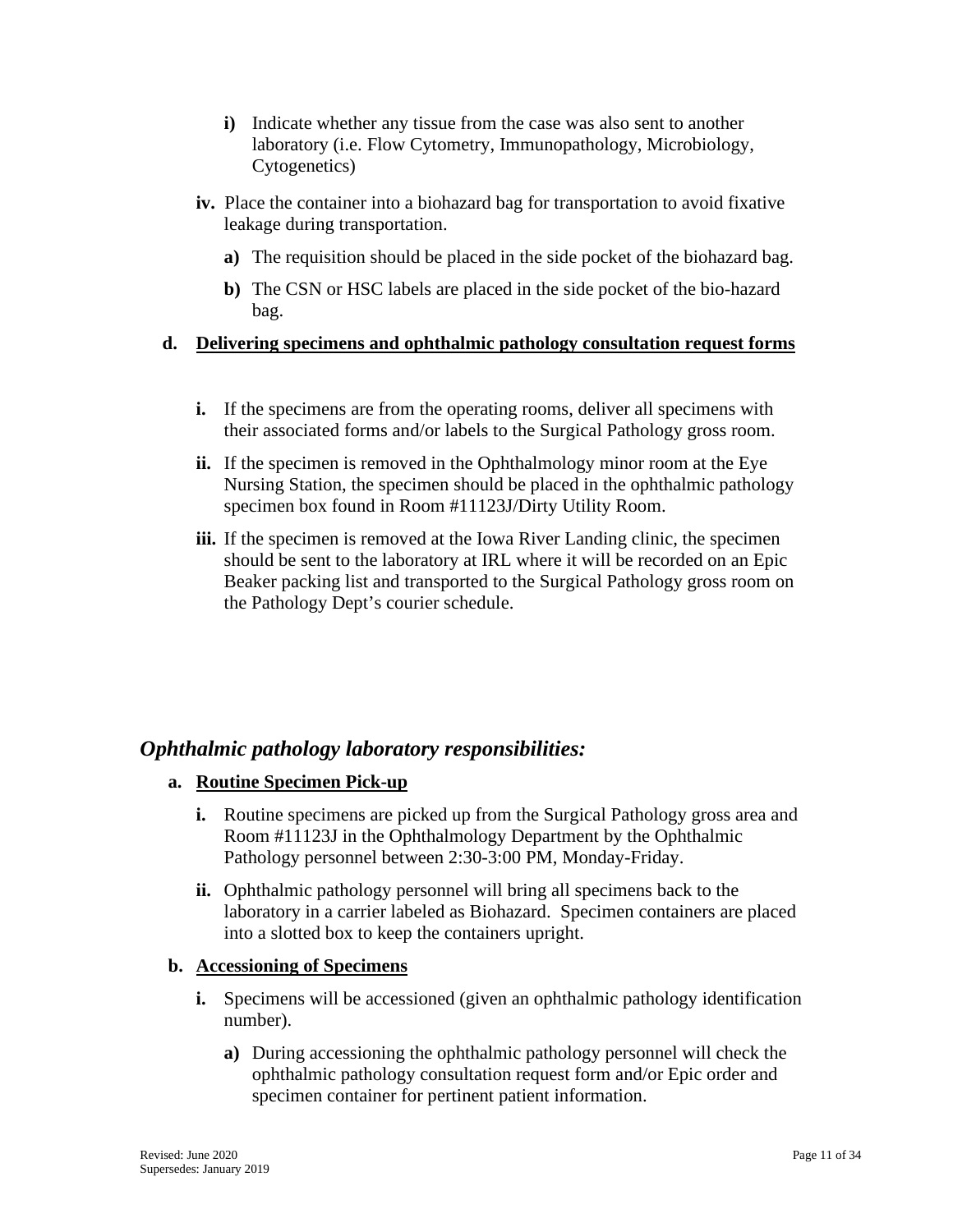- **i)** Indicate whether any tissue from the case was also sent to another laboratory (i.e. Flow Cytometry, Immunopathology, Microbiology, Cytogenetics)
- **iv.** Place the container into a biohazard bag for transportation to avoid fixative leakage during transportation.
	- **a)** The requisition should be placed in the side pocket of the biohazard bag.
	- **b)** The CSN or HSC labels are placed in the side pocket of the bio-hazard bag.

#### **d. Delivering specimens and ophthalmic pathology consultation request forms**

- **i.** If the specimens are from the operating rooms, deliver all specimens with their associated forms and/or labels to the Surgical Pathology gross room.
- **ii.** If the specimen is removed in the Ophthalmology minor room at the Eye Nursing Station, the specimen should be placed in the ophthalmic pathology specimen box found in Room #11123J/Dirty Utility Room.
- **iii.** If the specimen is removed at the Iowa River Landing clinic, the specimen should be sent to the laboratory at IRL where it will be recorded on an Epic Beaker packing list and transported to the Surgical Pathology gross room on the Pathology Dept's courier schedule.

## <span id="page-10-0"></span>*Ophthalmic pathology laboratory responsibilities:*

## **a. Routine Specimen Pick-up**

- **i.** Routine specimens are picked up from the Surgical Pathology gross area and Room #11123J in the Ophthalmology Department by the Ophthalmic Pathology personnel between 2:30-3:00 PM, Monday-Friday.
- **ii.** Ophthalmic pathology personnel will bring all specimens back to the laboratory in a carrier labeled as Biohazard. Specimen containers are placed into a slotted box to keep the containers upright.

## **b. Accessioning of Specimens**

- **i.** Specimens will be accessioned (given an ophthalmic pathology identification number).
	- **a)** During accessioning the ophthalmic pathology personnel will check the ophthalmic pathology consultation request form and/or Epic order and specimen container for pertinent patient information.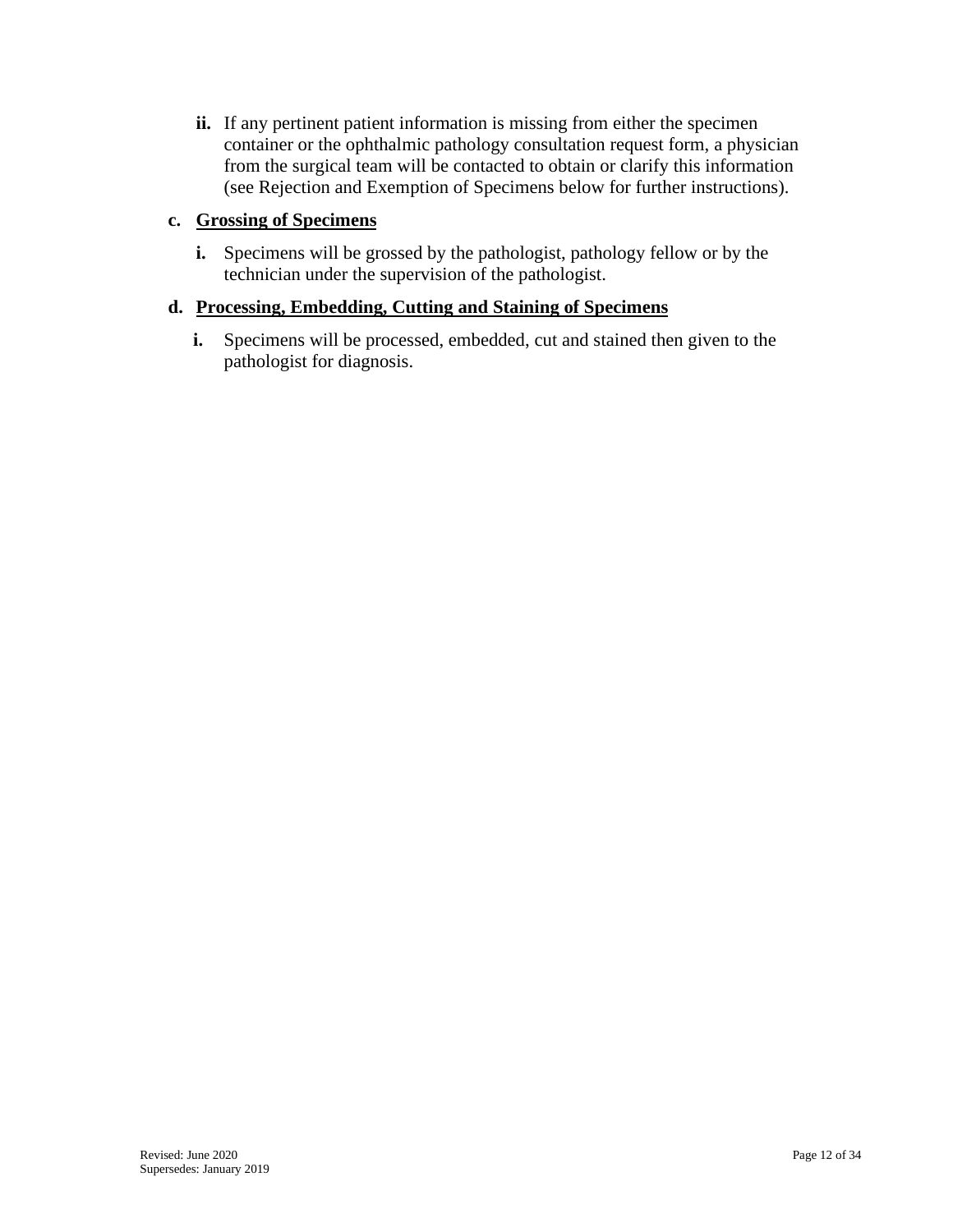**ii.** If any pertinent patient information is missing from either the specimen container or the ophthalmic pathology consultation request form, a physician from the surgical team will be contacted to obtain or clarify this information (see Rejection and Exemption of Specimens below for further instructions).

#### **c. Grossing of Specimens**

**i.** Specimens will be grossed by the pathologist, pathology fellow or by the technician under the supervision of the pathologist.

## **d. Processing, Embedding, Cutting and Staining of Specimens**

**i.** Specimens will be processed, embedded, cut and stained then given to the pathologist for diagnosis.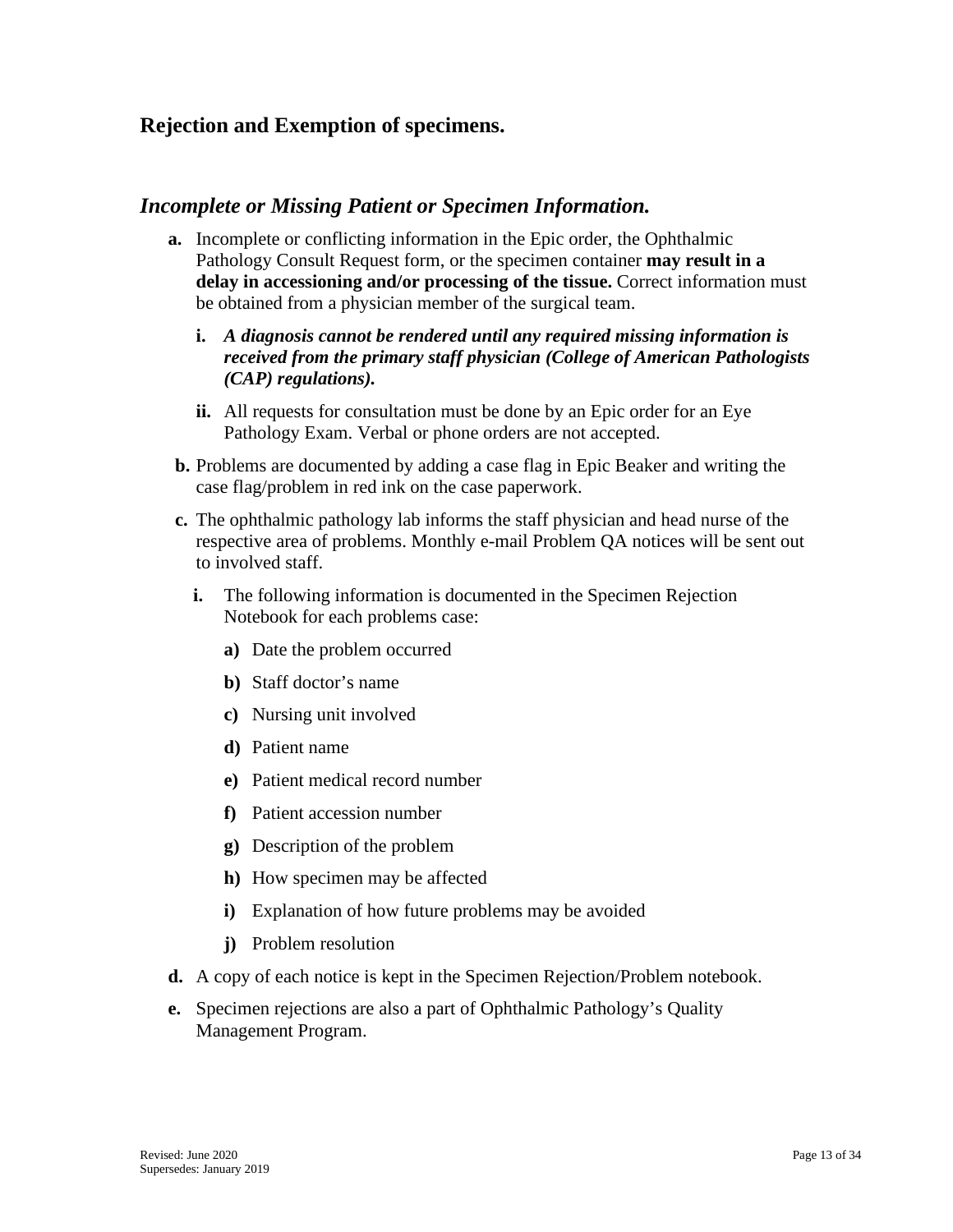## <span id="page-12-0"></span>**Rejection and Exemption of specimens.**

## <span id="page-12-1"></span>*Incomplete or Missing Patient or Specimen Information.*

- **a.** Incomplete or conflicting information in the Epic order, the Ophthalmic Pathology Consult Request form, or the specimen container **may result in a delay in accessioning and/or processing of the tissue.** Correct information must be obtained from a physician member of the surgical team.
	- **i.** *A diagnosis cannot be rendered until any required missing information is received from the primary staff physician (College of American Pathologists (CAP) regulations).*
	- **ii.** All requests for consultation must be done by an Epic order for an Eye Pathology Exam. Verbal or phone orders are not accepted.
- **b.** Problems are documented by adding a case flag in Epic Beaker and writing the case flag/problem in red ink on the case paperwork.
- **c.** The ophthalmic pathology lab informs the staff physician and head nurse of the respective area of problems. Monthly e-mail Problem QA notices will be sent out to involved staff.
	- **i.** The following information is documented in the Specimen Rejection Notebook for each problems case:
		- **a)** Date the problem occurred
		- **b)** Staff doctor's name
		- **c)** Nursing unit involved
		- **d)** Patient name
		- **e)** Patient medical record number
		- **f)** Patient accession number
		- **g)** Description of the problem
		- **h)** How specimen may be affected
		- **i)** Explanation of how future problems may be avoided
		- **j)** Problem resolution
- **d.** A copy of each notice is kept in the Specimen Rejection/Problem notebook.
- **e.** Specimen rejections are also a part of Ophthalmic Pathology's Quality Management Program.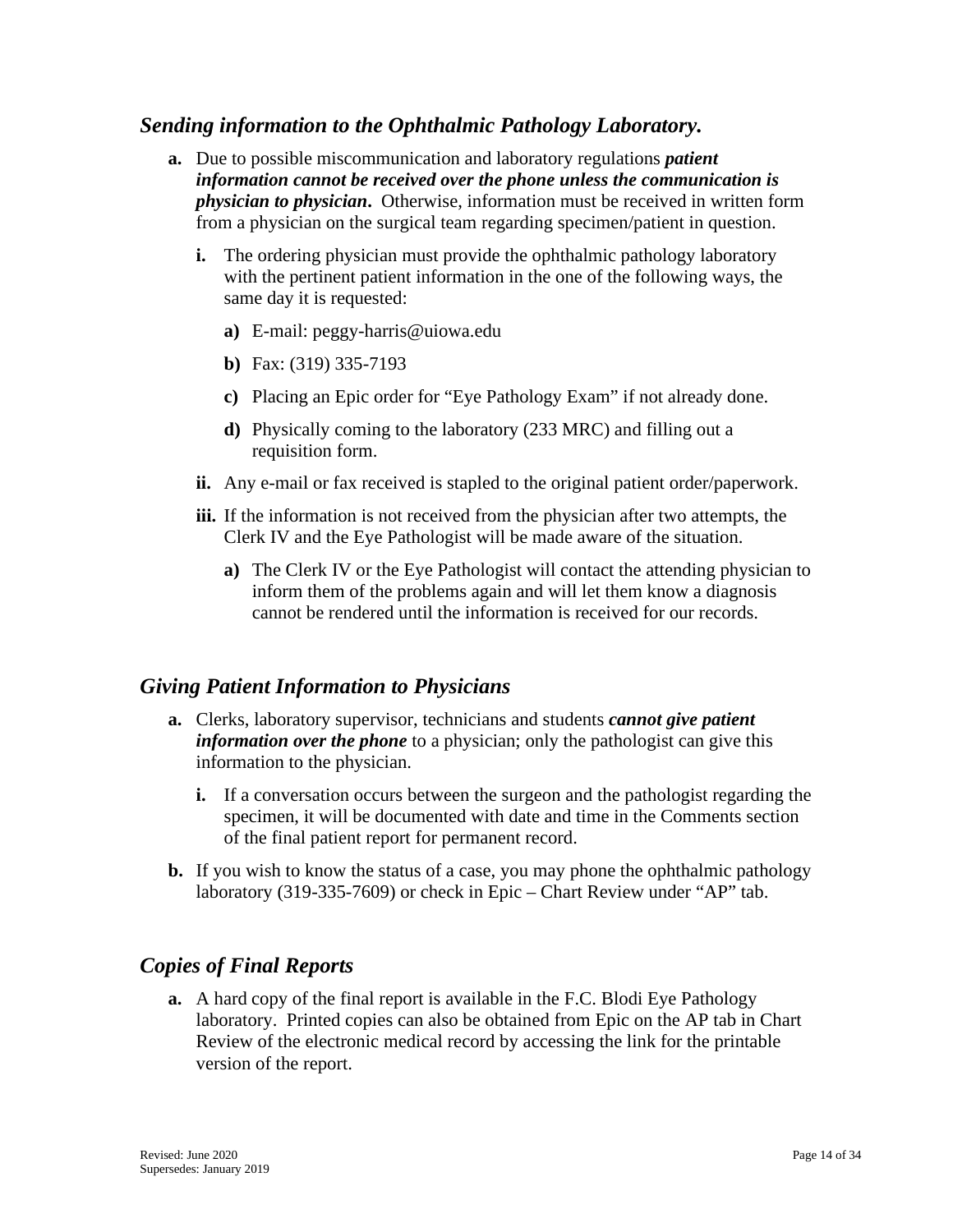## <span id="page-13-0"></span>*Sending information to the Ophthalmic Pathology Laboratory.*

- **a.** Due to possible miscommunication and laboratory regulations *patient information cannot be received over the phone unless the communication is physician to physician***.** Otherwise, information must be received in written form from a physician on the surgical team regarding specimen/patient in question.
	- **i.** The ordering physician must provide the ophthalmic pathology laboratory with the pertinent patient information in the one of the following ways, the same day it is requested:
		- **a)** E-mail: peggy-harris@uiowa.edu
		- **b)** Fax: (319) 335-7193
		- **c)** Placing an Epic order for "Eye Pathology Exam" if not already done.
		- **d)** Physically coming to the laboratory (233 MRC) and filling out a requisition form.
	- **ii.** Any e-mail or fax received is stapled to the original patient order/paperwork.
	- **iii.** If the information is not received from the physician after two attempts, the Clerk IV and the Eye Pathologist will be made aware of the situation.
		- **a)** The Clerk IV or the Eye Pathologist will contact the attending physician to inform them of the problems again and will let them know a diagnosis cannot be rendered until the information is received for our records.

## <span id="page-13-1"></span>*Giving Patient Information to Physicians*

- **a.** Clerks, laboratory supervisor, technicians and students *cannot give patient information over the phone* to a physician; only the pathologist can give this information to the physician.
	- **i.** If a conversation occurs between the surgeon and the pathologist regarding the specimen, it will be documented with date and time in the Comments section of the final patient report for permanent record.
- **b.** If you wish to know the status of a case, you may phone the ophthalmic pathology laboratory (319-335-7609) or check in Epic – Chart Review under "AP" tab.

## <span id="page-13-2"></span>*Copies of Final Reports*

**a.** A hard copy of the final report is available in the F.C. Blodi Eye Pathology laboratory. Printed copies can also be obtained from Epic on the AP tab in Chart Review of the electronic medical record by accessing the link for the printable version of the report.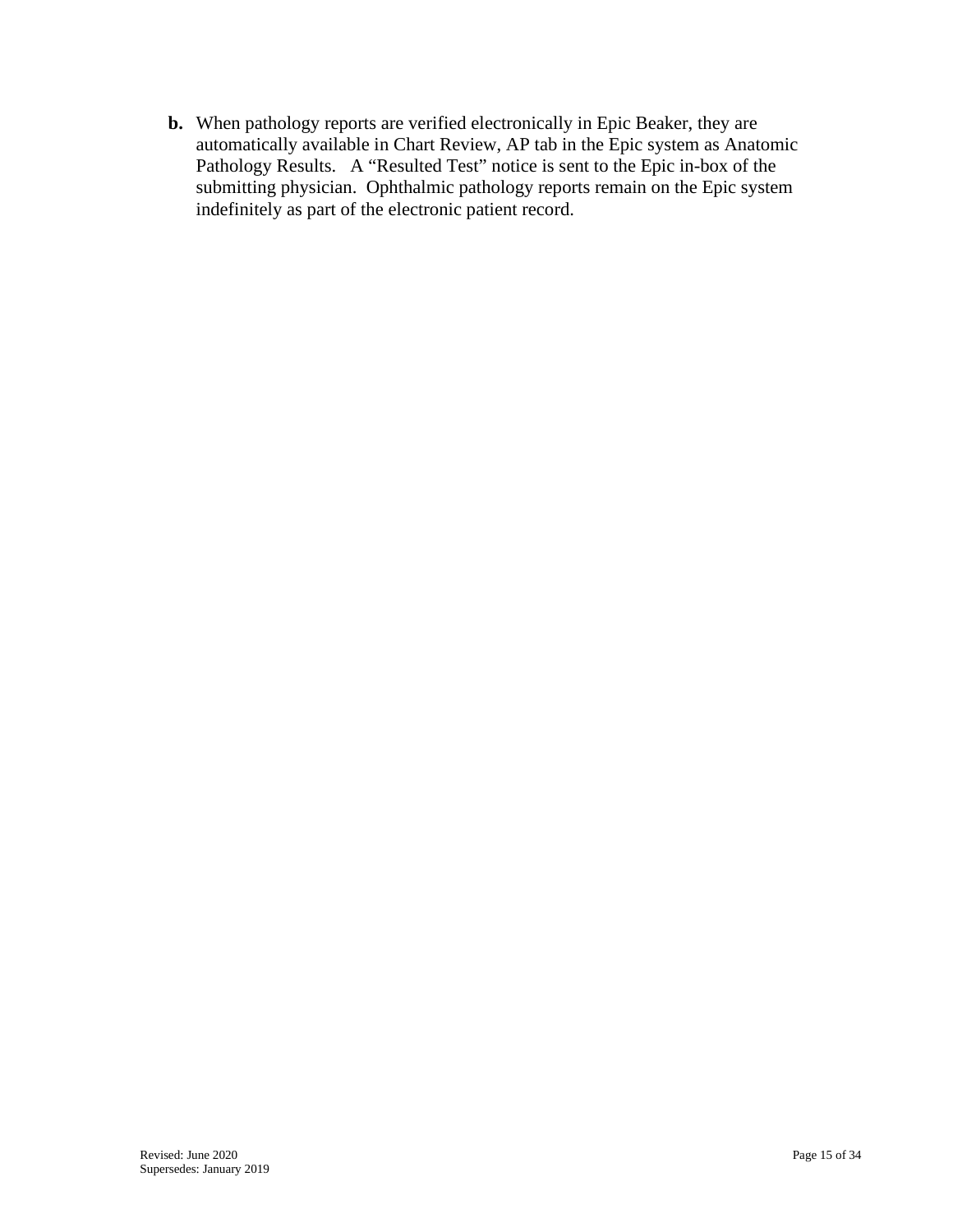**b.** When pathology reports are verified electronically in Epic Beaker, they are automatically available in Chart Review, AP tab in the Epic system as Anatomic Pathology Results. A "Resulted Test" notice is sent to the Epic in-box of the submitting physician. Ophthalmic pathology reports remain on the Epic system indefinitely as part of the electronic patient record.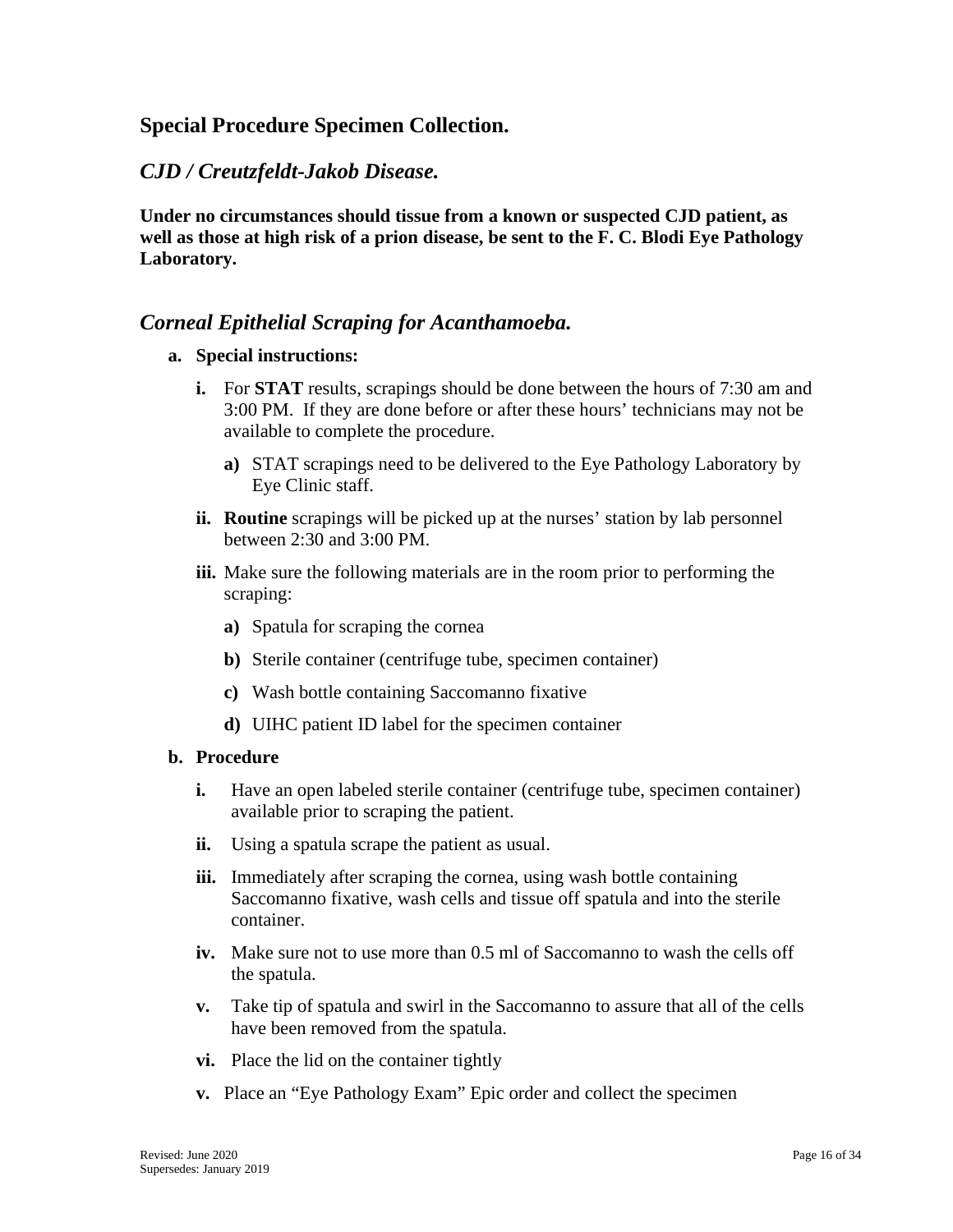## <span id="page-15-0"></span>**Special Procedure Specimen Collection.**

## <span id="page-15-1"></span>*CJD / Creutzfeldt-Jakob Disease.*

**Under no circumstances should tissue from a known or suspected CJD patient, as well as those at high risk of a prion disease, be sent to the F. C. Blodi Eye Pathology Laboratory.** 

## <span id="page-15-2"></span>*Corneal Epithelial Scraping for Acanthamoeba.*

#### **a. Special instructions:**

- **i.** For **STAT** results, scrapings should be done between the hours of 7:30 am and 3:00 PM. If they are done before or after these hours' technicians may not be available to complete the procedure.
	- **a)** STAT scrapings need to be delivered to the Eye Pathology Laboratory by Eye Clinic staff.
- **ii. Routine** scrapings will be picked up at the nurses' station by lab personnel between 2:30 and 3:00 PM.
- **iii.** Make sure the following materials are in the room prior to performing the scraping:
	- **a)** Spatula for scraping the cornea
	- **b)** Sterile container (centrifuge tube, specimen container)
	- **c)** Wash bottle containing Saccomanno fixative
	- **d)** UIHC patient ID label for the specimen container

#### **b. Procedure**

- **i.** Have an open labeled sterile container (centrifuge tube, specimen container) available prior to scraping the patient.
- **ii.** Using a spatula scrape the patient as usual.
- **iii.** Immediately after scraping the cornea, using wash bottle containing Saccomanno fixative, wash cells and tissue off spatula and into the sterile container.
- **iv.** Make sure not to use more than 0.5 ml of Saccomanno to wash the cells off the spatula.
- **v.** Take tip of spatula and swirl in the Saccomanno to assure that all of the cells have been removed from the spatula.
- **vi.** Place the lid on the container tightly
- **v.** Place an "Eye Pathology Exam" Epic order and collect the specimen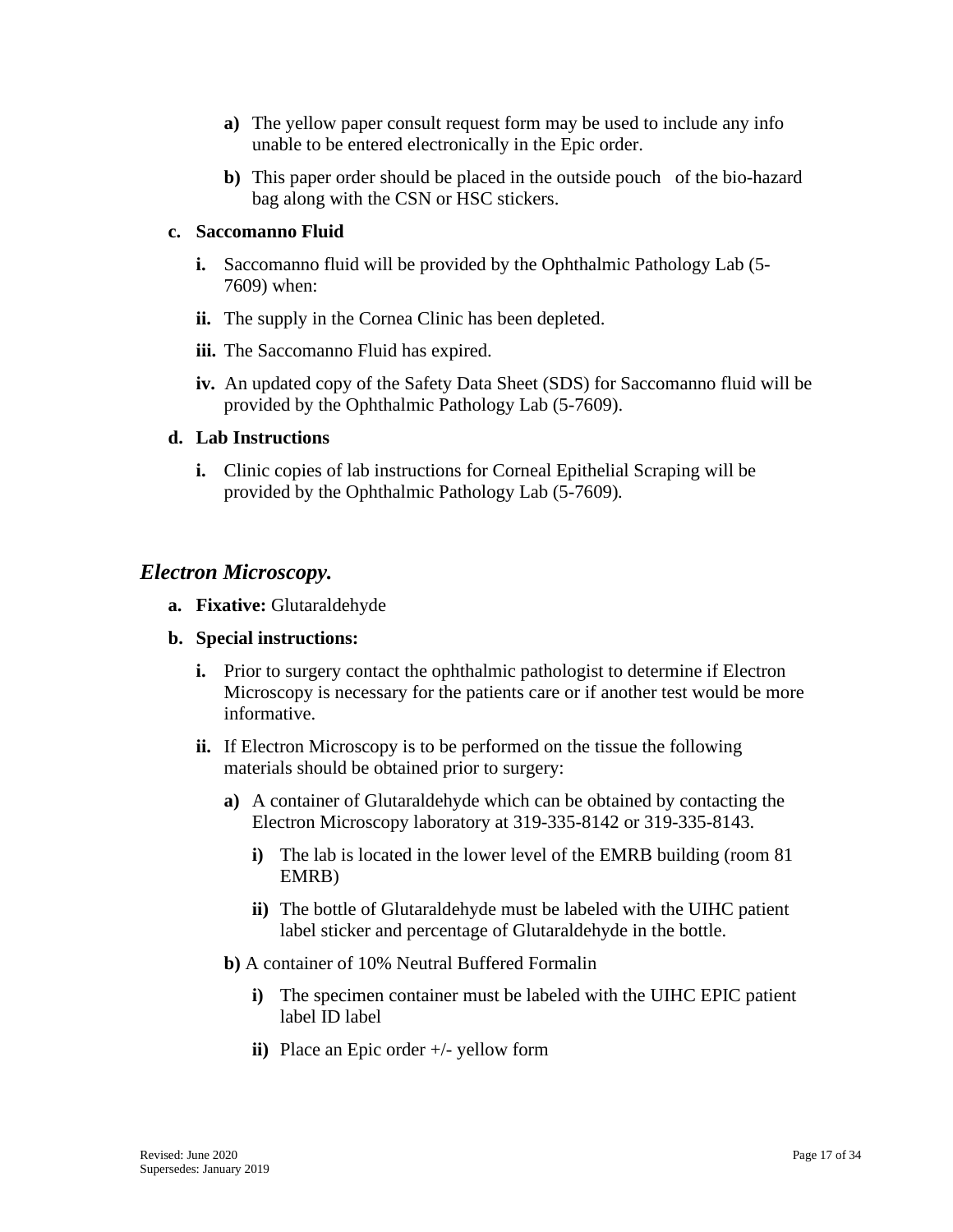- **a)** The yellow paper consult request form may be used to include any info unable to be entered electronically in the Epic order.
- **b)** This paper order should be placed in the outside pouch of the bio-hazard bag along with the CSN or HSC stickers.

#### **c. Saccomanno Fluid**

- **i.** Saccomanno fluid will be provided by the Ophthalmic Pathology Lab (5-7609) when:
- **ii.** The supply in the Cornea Clinic has been depleted.
- **iii.** The Saccomanno Fluid has expired.
- **iv.** An updated copy of the Safety Data Sheet (SDS) for Saccomanno fluid will be provided by the Ophthalmic Pathology Lab (5-7609).

#### **d. Lab Instructions**

**i.** Clinic copies of lab instructions for Corneal Epithelial Scraping will be provided by the Ophthalmic Pathology Lab (5-7609)*.*

#### <span id="page-16-0"></span>*Electron Microscopy.*

**a. Fixative:** Glutaraldehyde

#### **b. Special instructions:**

- **i.** Prior to surgery contact the ophthalmic pathologist to determine if Electron Microscopy is necessary for the patients care or if another test would be more informative.
- **ii.** If Electron Microscopy is to be performed on the tissue the following materials should be obtained prior to surgery:
	- **a)** A container of Glutaraldehyde which can be obtained by contacting the Electron Microscopy laboratory at 319-335-8142 or 319-335-8143.
		- **i)** The lab is located in the lower level of the EMRB building (room 81 EMRB)
		- **ii)** The bottle of Glutaraldehyde must be labeled with the UIHC patient label sticker and percentage of Glutaraldehyde in the bottle.
	- **b)** A container of 10% Neutral Buffered Formalin
		- **i)** The specimen container must be labeled with the UIHC EPIC patient label ID label
		- **ii)** Place an Epic order +/- yellow form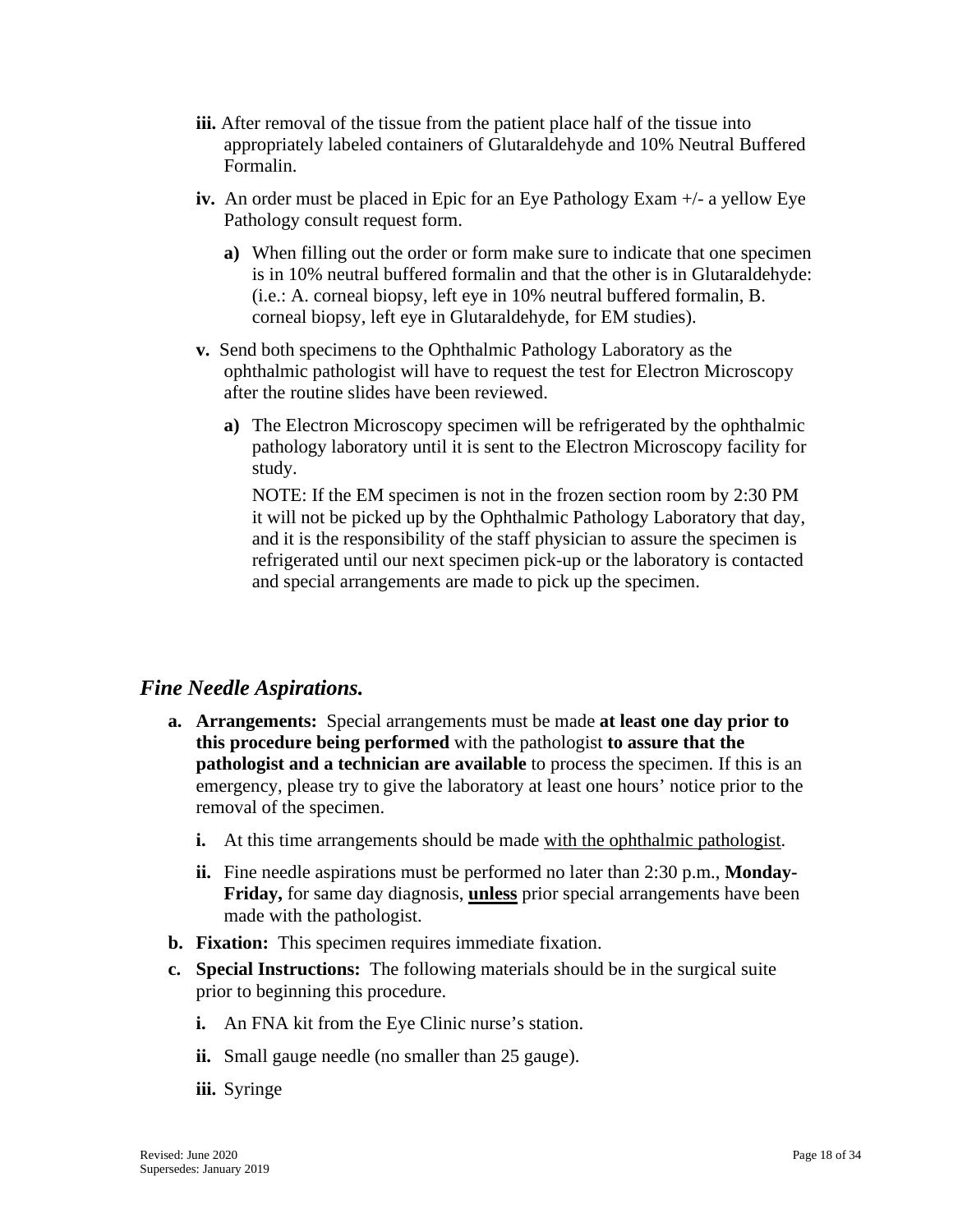- **iii.** After removal of the tissue from the patient place half of the tissue into appropriately labeled containers of Glutaraldehyde and 10% Neutral Buffered Formalin.
- **iv.** An order must be placed in Epic for an Eye Pathology Exam +/- a yellow Eye Pathology consult request form.
	- **a)** When filling out the order or form make sure to indicate that one specimen is in 10% neutral buffered formalin and that the other is in Glutaraldehyde: (i.e.: A. corneal biopsy, left eye in 10% neutral buffered formalin, B. corneal biopsy, left eye in Glutaraldehyde, for EM studies).
- **v.** Send both specimens to the Ophthalmic Pathology Laboratory as the ophthalmic pathologist will have to request the test for Electron Microscopy after the routine slides have been reviewed.
	- **a)** The Electron Microscopy specimen will be refrigerated by the ophthalmic pathology laboratory until it is sent to the Electron Microscopy facility for study.

NOTE: If the EM specimen is not in the frozen section room by 2:30 PM it will not be picked up by the Ophthalmic Pathology Laboratory that day, and it is the responsibility of the staff physician to assure the specimen is refrigerated until our next specimen pick-up or the laboratory is contacted and special arrangements are made to pick up the specimen.

## <span id="page-17-0"></span>*Fine Needle Aspirations.*

- **a. Arrangements:** Special arrangements must be made **at least one day prior to this procedure being performed** with the pathologist **to assure that the pathologist and a technician are available** to process the specimen. If this is an emergency, please try to give the laboratory at least one hours' notice prior to the removal of the specimen.
	- **i.** At this time arrangements should be made with the ophthalmic pathologist.
	- **ii.** Fine needle aspirations must be performed no later than 2:30 p.m., **Monday-Friday,** for same day diagnosis, **unless** prior special arrangements have been made with the pathologist.
- **b. Fixation:** This specimen requires immediate fixation.
- **c. Special Instructions:** The following materials should be in the surgical suite prior to beginning this procedure.
	- **i.** An FNA kit from the Eye Clinic nurse's station.
	- **ii.** Small gauge needle (no smaller than 25 gauge).
	- **iii.** Syringe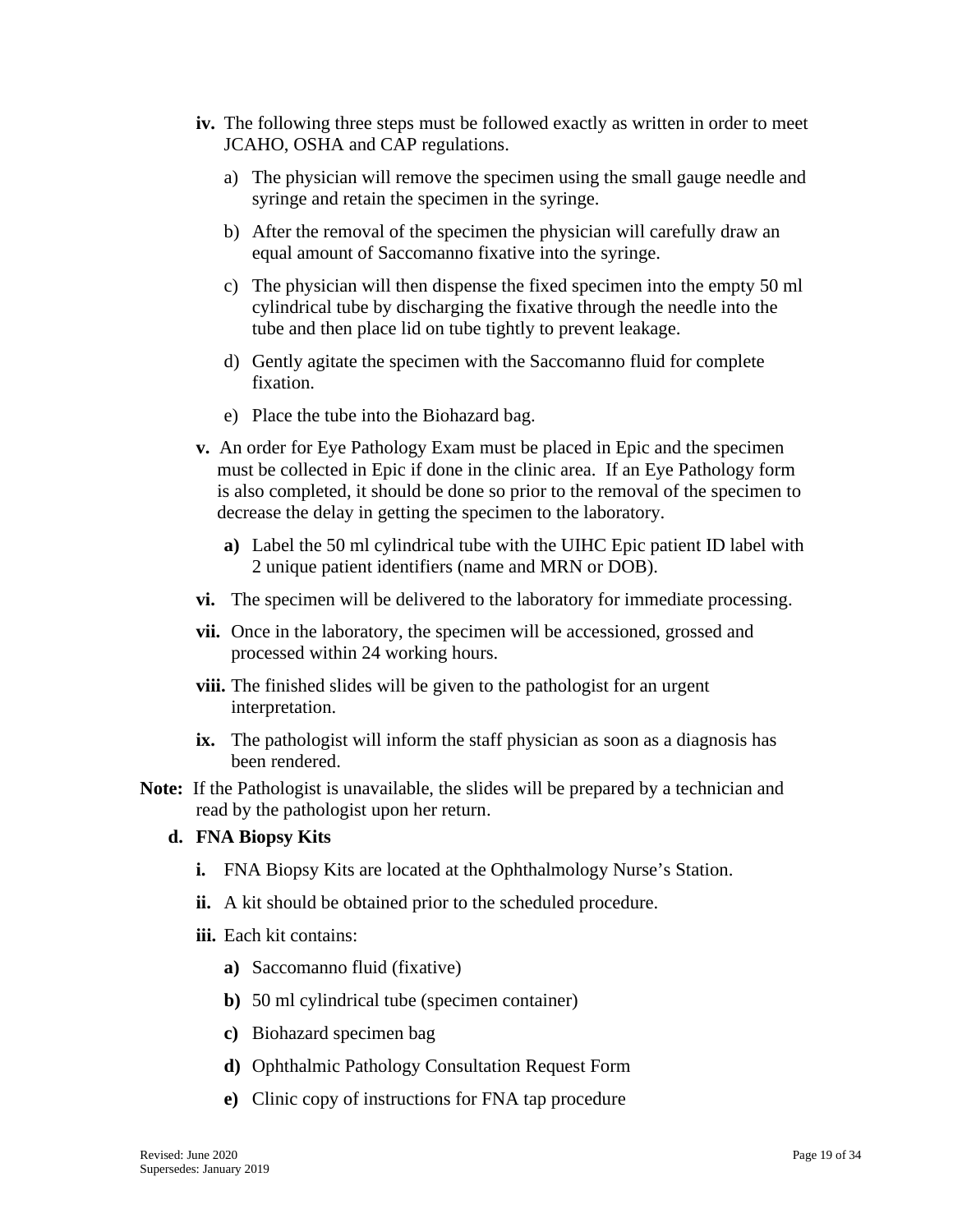- **iv.** The following three steps must be followed exactly as written in order to meet JCAHO, OSHA and CAP regulations.
	- a) The physician will remove the specimen using the small gauge needle and syringe and retain the specimen in the syringe.
	- b) After the removal of the specimen the physician will carefully draw an equal amount of Saccomanno fixative into the syringe.
	- c) The physician will then dispense the fixed specimen into the empty 50 ml cylindrical tube by discharging the fixative through the needle into the tube and then place lid on tube tightly to prevent leakage.
	- d) Gently agitate the specimen with the Saccomanno fluid for complete fixation.
	- e) Place the tube into the Biohazard bag.
- **v.** An order for Eye Pathology Exam must be placed in Epic and the specimen must be collected in Epic if done in the clinic area. If an Eye Pathology form is also completed, it should be done so prior to the removal of the specimen to decrease the delay in getting the specimen to the laboratory.
	- **a)** Label the 50 ml cylindrical tube with the UIHC Epic patient ID label with 2 unique patient identifiers (name and MRN or DOB).
- **vi.** The specimen will be delivered to the laboratory for immediate processing.
- **vii.** Once in the laboratory, the specimen will be accessioned, grossed and processed within 24 working hours.
- **viii.** The finished slides will be given to the pathologist for an urgent interpretation.
- **ix.** The pathologist will inform the staff physician as soon as a diagnosis has been rendered.
- **Note:** If the Pathologist is unavailable, the slides will be prepared by a technician and read by the pathologist upon her return.

#### **d. FNA Biopsy Kits**

- **i.** FNA Biopsy Kits are located at the Ophthalmology Nurse's Station.
- **ii.** A kit should be obtained prior to the scheduled procedure.
- **iii.** Each kit contains:
	- **a)** Saccomanno fluid (fixative)
	- **b)** 50 ml cylindrical tube (specimen container)
	- **c)** Biohazard specimen bag
	- **d)** Ophthalmic Pathology Consultation Request Form
	- **e)** Clinic copy of instructions for FNA tap procedure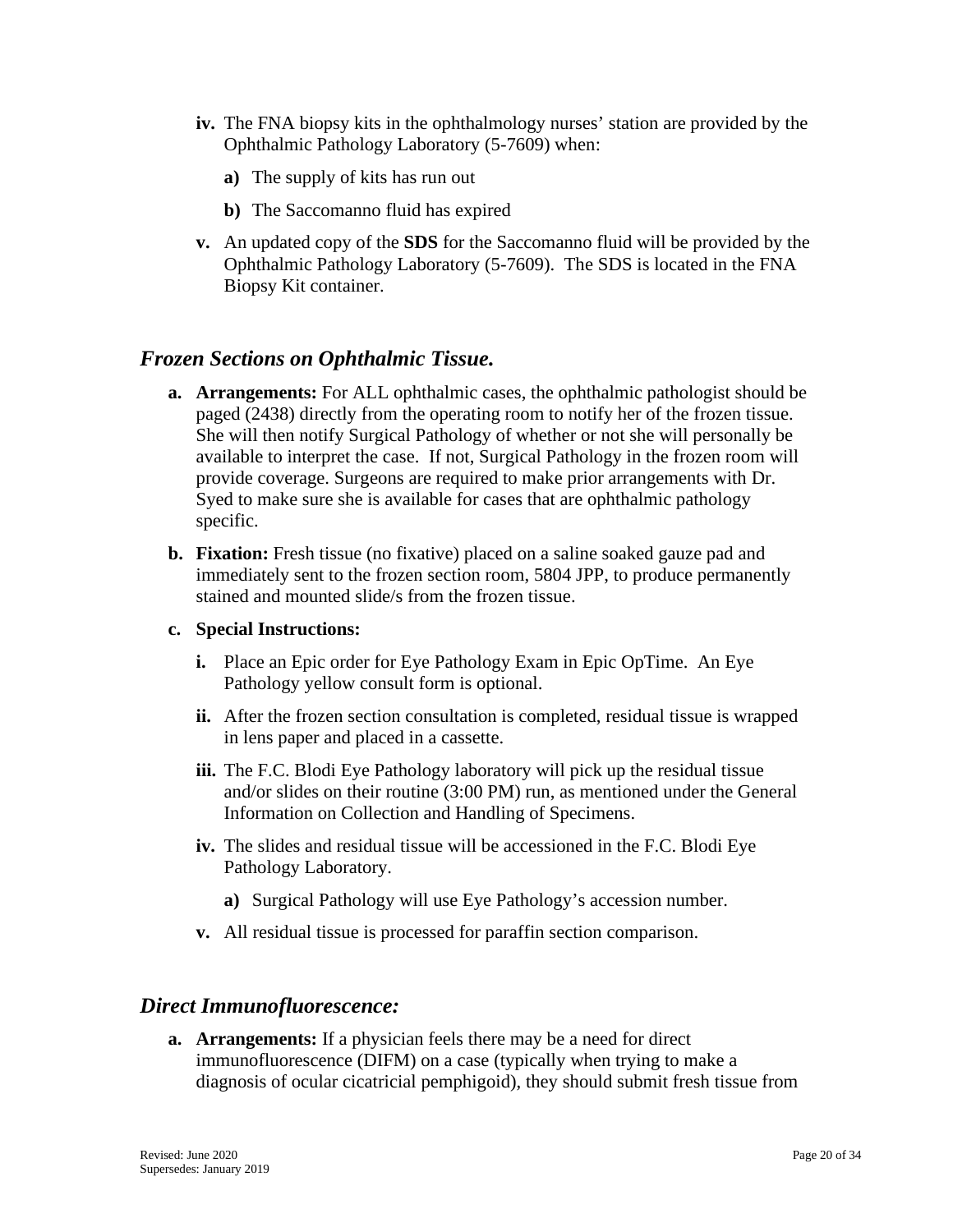- **iv.** The FNA biopsy kits in the ophthalmology nurses' station are provided by the Ophthalmic Pathology Laboratory (5-7609) when:
	- **a)** The supply of kits has run out
	- **b)** The Saccomanno fluid has expired
- **v.** An updated copy of the **SDS** for the Saccomanno fluid will be provided by the Ophthalmic Pathology Laboratory (5-7609). The SDS is located in the FNA Biopsy Kit container.

## <span id="page-19-0"></span>*Frozen Sections on Ophthalmic Tissue.*

- **a. Arrangements:** For ALL ophthalmic cases, the ophthalmic pathologist should be paged (2438) directly from the operating room to notify her of the frozen tissue. She will then notify Surgical Pathology of whether or not she will personally be available to interpret the case. If not, Surgical Pathology in the frozen room will provide coverage. Surgeons are required to make prior arrangements with Dr. Syed to make sure she is available for cases that are ophthalmic pathology specific.
- **b. Fixation:** Fresh tissue (no fixative) placed on a saline soaked gauze pad and immediately sent to the frozen section room, 5804 JPP, to produce permanently stained and mounted slide/s from the frozen tissue.

#### **c. Special Instructions:**

- **i.** Place an Epic order for Eye Pathology Exam in Epic OpTime. An Eye Pathology yellow consult form is optional.
- **ii.** After the frozen section consultation is completed, residual tissue is wrapped in lens paper and placed in a cassette.
- **iii.** The F.C. Blodi Eye Pathology laboratory will pick up the residual tissue and/or slides on their routine (3:00 PM) run, as mentioned under the General Information on Collection and Handling of Specimens.
- **iv.** The slides and residual tissue will be accessioned in the F.C. Blodi Eye Pathology Laboratory.
	- **a)** Surgical Pathology will use Eye Pathology's accession number.
- **v.** All residual tissue is processed for paraffin section comparison.

## <span id="page-19-1"></span>*Direct Immunofluorescence:*

**a. Arrangements:** If a physician feels there may be a need for direct immunofluorescence (DIFM) on a case (typically when trying to make a diagnosis of ocular cicatricial pemphigoid), they should submit fresh tissue from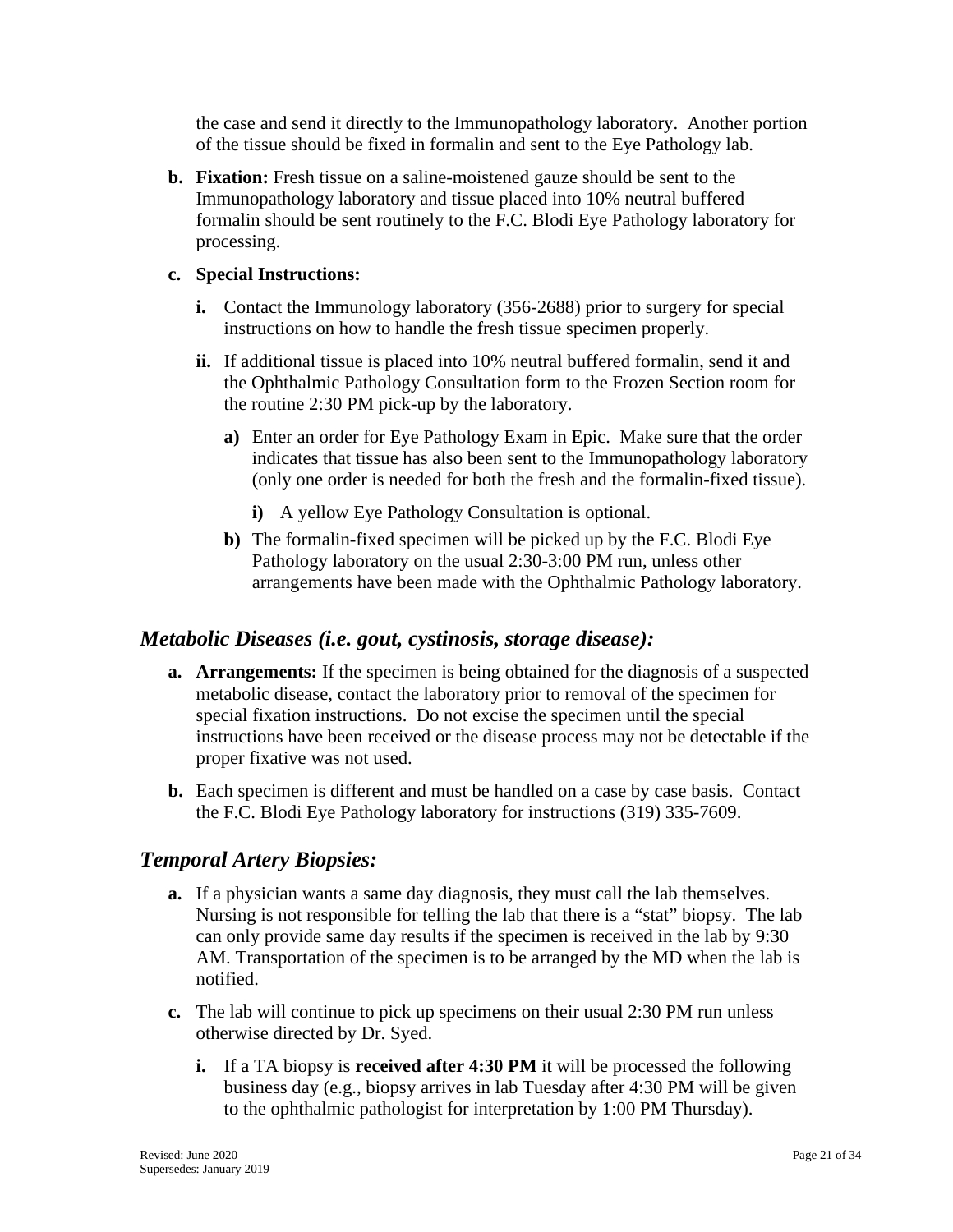the case and send it directly to the Immunopathology laboratory. Another portion of the tissue should be fixed in formalin and sent to the Eye Pathology lab.

**b. Fixation:** Fresh tissue on a saline-moistened gauze should be sent to the Immunopathology laboratory and tissue placed into 10% neutral buffered formalin should be sent routinely to the F.C. Blodi Eye Pathology laboratory for processing.

#### **c. Special Instructions:**

- **i.** Contact the Immunology laboratory (356-2688) prior to surgery for special instructions on how to handle the fresh tissue specimen properly.
- **ii.** If additional tissue is placed into 10% neutral buffered formalin, send it and the Ophthalmic Pathology Consultation form to the Frozen Section room for the routine 2:30 PM pick-up by the laboratory.
	- **a)** Enter an order for Eye Pathology Exam in Epic. Make sure that the order indicates that tissue has also been sent to the Immunopathology laboratory (only one order is needed for both the fresh and the formalin-fixed tissue).
		- **i)** A yellow Eye Pathology Consultation is optional.
	- **b)** The formalin-fixed specimen will be picked up by the F.C. Blodi Eye Pathology laboratory on the usual 2:30-3:00 PM run, unless other arrangements have been made with the Ophthalmic Pathology laboratory.

## <span id="page-20-0"></span>*Metabolic Diseases (i.e. gout, cystinosis, storage disease):*

- **a. Arrangements:** If the specimen is being obtained for the diagnosis of a suspected metabolic disease, contact the laboratory prior to removal of the specimen for special fixation instructions. Do not excise the specimen until the special instructions have been received or the disease process may not be detectable if the proper fixative was not used.
- **b.** Each specimen is different and must be handled on a case by case basis. Contact the F.C. Blodi Eye Pathology laboratory for instructions (319) 335-7609.

## <span id="page-20-1"></span>*Temporal Artery Biopsies:*

- **a.** If a physician wants a same day diagnosis, they must call the lab themselves. Nursing is not responsible for telling the lab that there is a "stat" biopsy. The lab can only provide same day results if the specimen is received in the lab by 9:30 AM. Transportation of the specimen is to be arranged by the MD when the lab is notified.
- **c.** The lab will continue to pick up specimens on their usual 2:30 PM run unless otherwise directed by Dr. Syed.
	- **i.** If a TA biopsy is **received after 4:30 PM** it will be processed the following business day (e.g., biopsy arrives in lab Tuesday after 4:30 PM will be given to the ophthalmic pathologist for interpretation by 1:00 PM Thursday).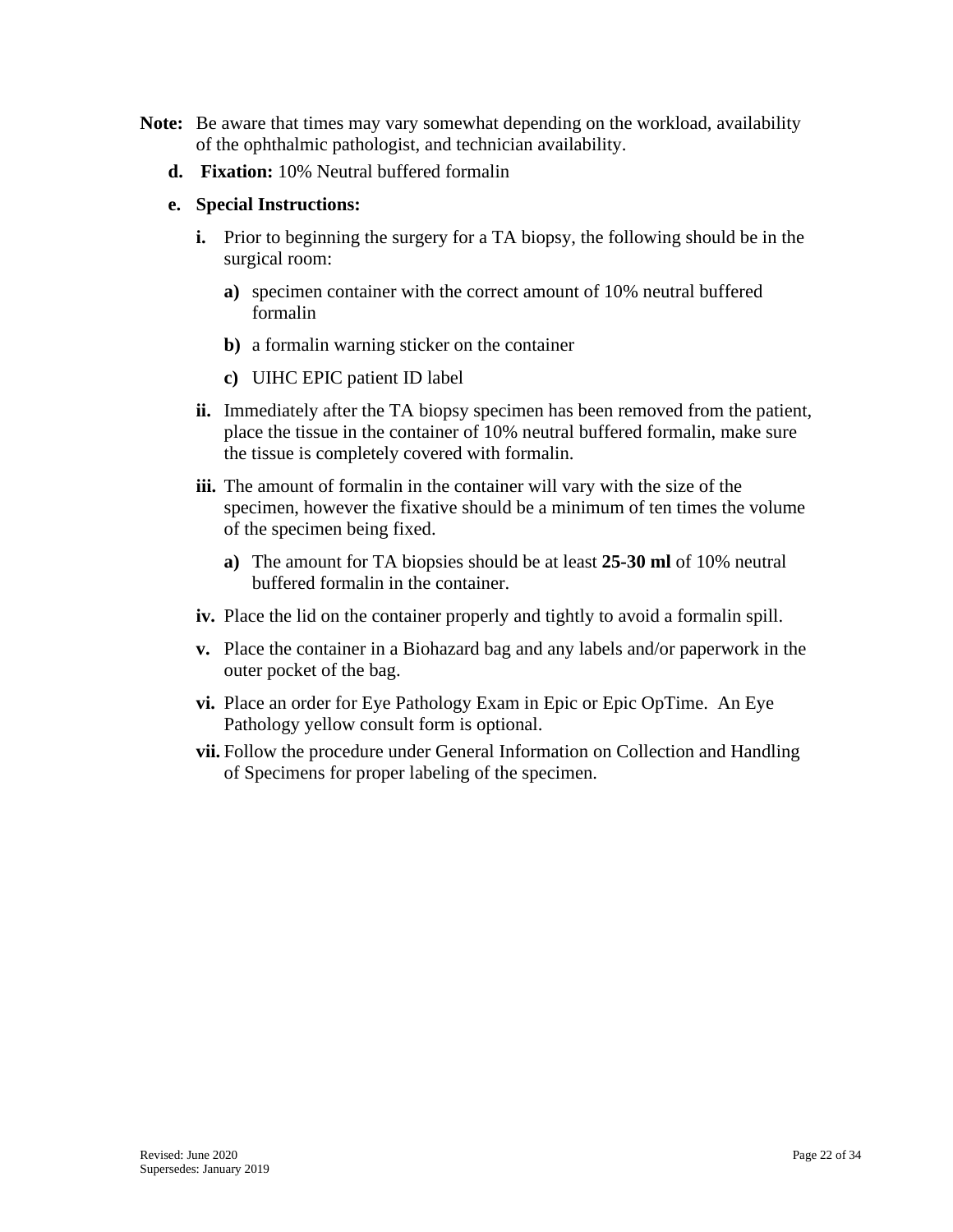- **Note:** Be aware that times may vary somewhat depending on the workload, availability of the ophthalmic pathologist, and technician availability.
	- **d. Fixation:** 10% Neutral buffered formalin

#### **e. Special Instructions:**

- **i.** Prior to beginning the surgery for a TA biopsy, the following should be in the surgical room:
	- **a)** specimen container with the correct amount of 10% neutral buffered formalin
	- **b)** a formalin warning sticker on the container
	- **c)** UIHC EPIC patient ID label
- **ii.** Immediately after the TA biopsy specimen has been removed from the patient, place the tissue in the container of 10% neutral buffered formalin, make sure the tissue is completely covered with formalin.
- **iii.** The amount of formalin in the container will vary with the size of the specimen, however the fixative should be a minimum of ten times the volume of the specimen being fixed.
	- **a)** The amount for TA biopsies should be at least **25-30 ml** of 10% neutral buffered formalin in the container.
- **iv.** Place the lid on the container properly and tightly to avoid a formalin spill.
- **v.** Place the container in a Biohazard bag and any labels and/or paperwork in the outer pocket of the bag.
- **vi.** Place an order for Eye Pathology Exam in Epic or Epic OpTime. An Eye Pathology yellow consult form is optional.
- **vii.** Follow the procedure under General Information on Collection and Handling of Specimens for proper labeling of the specimen.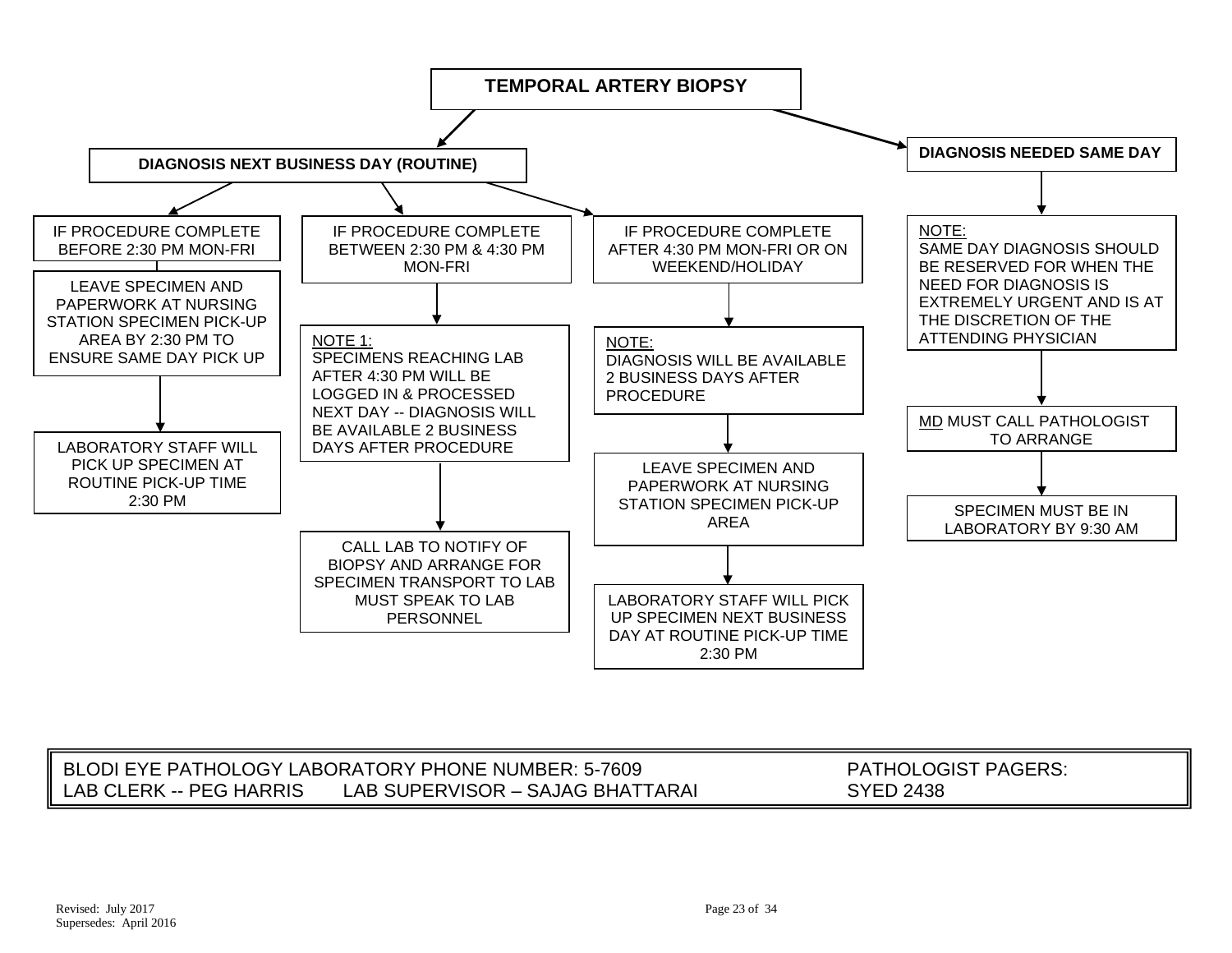

|                         | BLODI EYE PATHOLOGY LABORATORY PHONE NUMBER: 5-7609 | $\mathsf{\mathsf{\mathsf{LOGIST}}}\,$ PAGERS:<br>THOL. |
|-------------------------|-----------------------------------------------------|--------------------------------------------------------|
| LAB CLERK -- PEG HARRIS | LAB SUPERVISOR - SAJAG BHATTARAI                    | SYED 2438                                              |
|                         |                                                     |                                                        |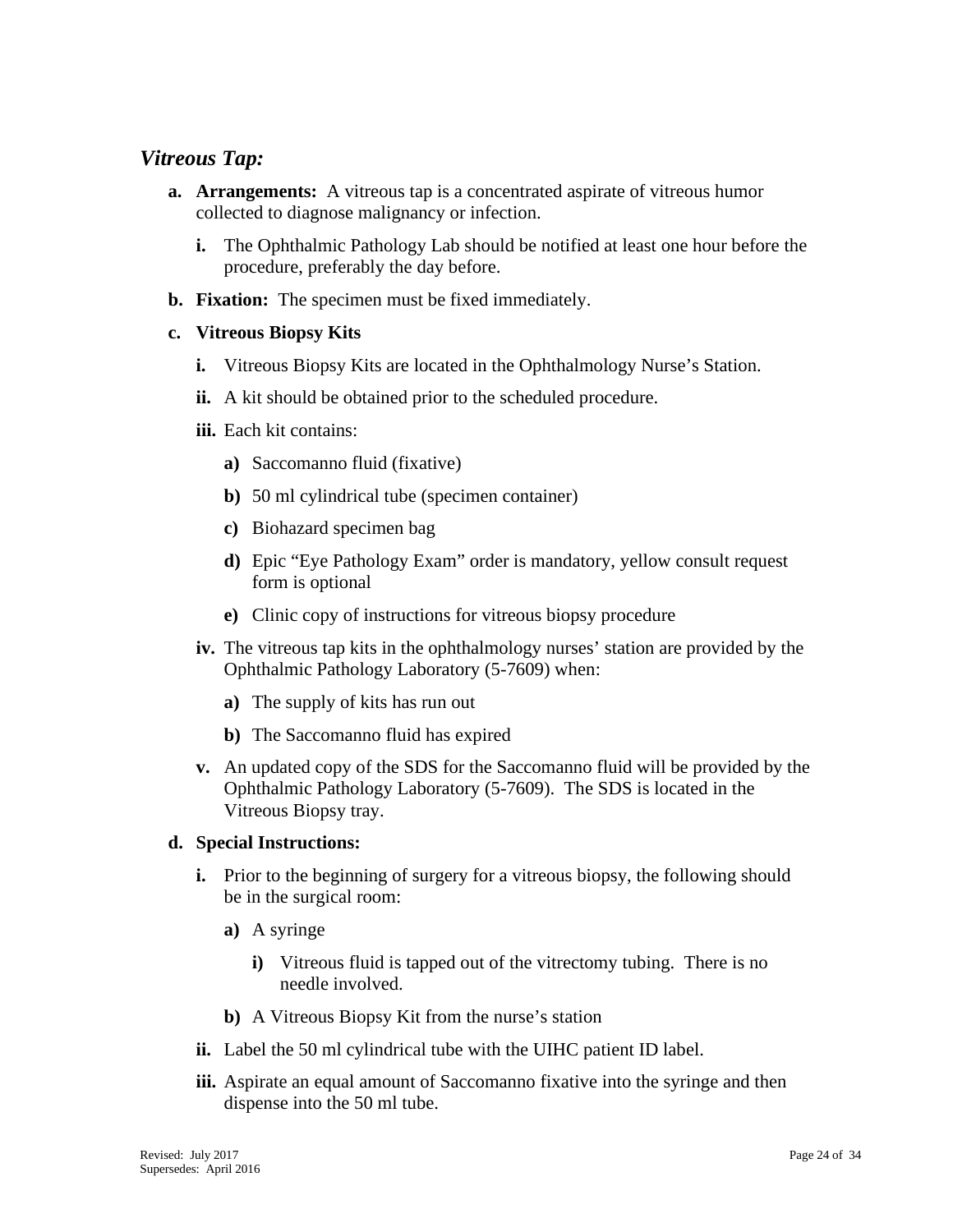## <span id="page-23-0"></span>*Vitreous Tap:*

- **a. Arrangements:** A vitreous tap is a concentrated aspirate of vitreous humor collected to diagnose malignancy or infection.
	- **i.** The Ophthalmic Pathology Lab should be notified at least one hour before the procedure, preferably the day before.
- **b. Fixation:** The specimen must be fixed immediately.

#### **c. Vitreous Biopsy Kits**

- **i.** Vitreous Biopsy Kits are located in the Ophthalmology Nurse's Station.
- **ii.** A kit should be obtained prior to the scheduled procedure.
- **iii.** Each kit contains:
	- **a)** Saccomanno fluid (fixative)
	- **b)** 50 ml cylindrical tube (specimen container)
	- **c)** Biohazard specimen bag
	- **d)** Epic "Eye Pathology Exam" order is mandatory, yellow consult request form is optional
	- **e)** Clinic copy of instructions for vitreous biopsy procedure
- **iv.** The vitreous tap kits in the ophthalmology nurses' station are provided by the Ophthalmic Pathology Laboratory (5-7609) when:
	- **a)** The supply of kits has run out
	- **b)** The Saccomanno fluid has expired
- **v.** An updated copy of the SDS for the Saccomanno fluid will be provided by the Ophthalmic Pathology Laboratory (5-7609). The SDS is located in the Vitreous Biopsy tray.

#### **d. Special Instructions:**

- **i.** Prior to the beginning of surgery for a vitreous biopsy, the following should be in the surgical room:
	- **a)** A syringe
		- **i)** Vitreous fluid is tapped out of the vitrectomy tubing. There is no needle involved.
	- **b)** A Vitreous Biopsy Kit from the nurse's station
- **ii.** Label the 50 ml cylindrical tube with the UIHC patient ID label.
- **iii.** Aspirate an equal amount of Saccomanno fixative into the syringe and then dispense into the 50 ml tube.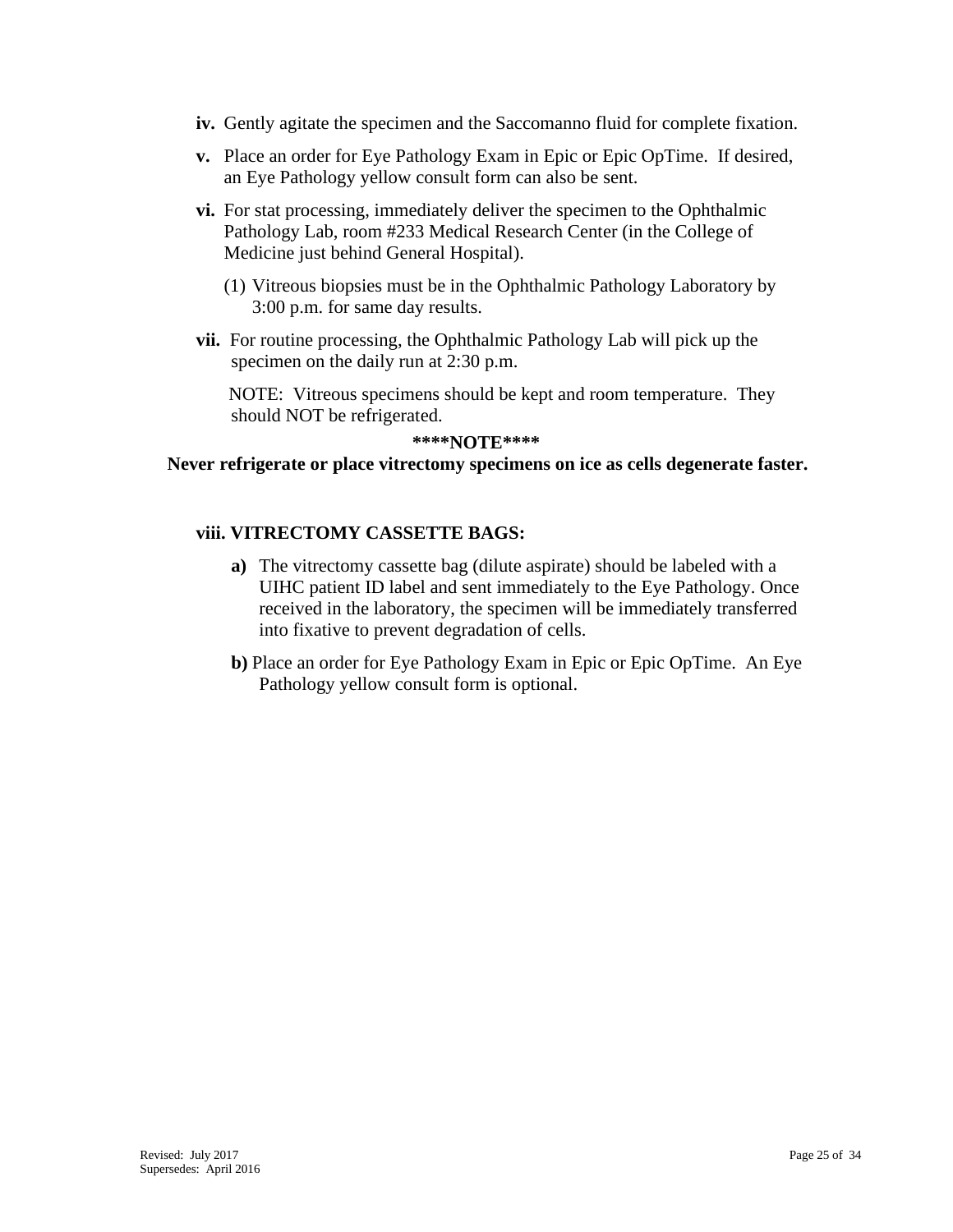- **iv.** Gently agitate the specimen and the Saccomanno fluid for complete fixation.
- **v.** Place an order for Eye Pathology Exam in Epic or Epic OpTime. If desired, an Eye Pathology yellow consult form can also be sent.
- **vi.** For stat processing, immediately deliver the specimen to the Ophthalmic Pathology Lab, room #233 Medical Research Center (in the College of Medicine just behind General Hospital).
	- (1) Vitreous biopsies must be in the Ophthalmic Pathology Laboratory by 3:00 p.m. for same day results.
- **vii.** For routine processing, the Ophthalmic Pathology Lab will pick up the specimen on the daily run at 2:30 p.m.

 NOTE: Vitreous specimens should be kept and room temperature. They should NOT be refrigerated.

#### **\*\*\*\*NOTE\*\*\*\***

#### **Never refrigerate or place vitrectomy specimens on ice as cells degenerate faster.**

#### **viii. VITRECTOMY CASSETTE BAGS:**

- **a)** The vitrectomy cassette bag (dilute aspirate) should be labeled with a UIHC patient ID label and sent immediately to the Eye Pathology. Once received in the laboratory, the specimen will be immediately transferred into fixative to prevent degradation of cells.
- **b)** Place an order for Eye Pathology Exam in Epic or Epic OpTime. An Eye Pathology yellow consult form is optional.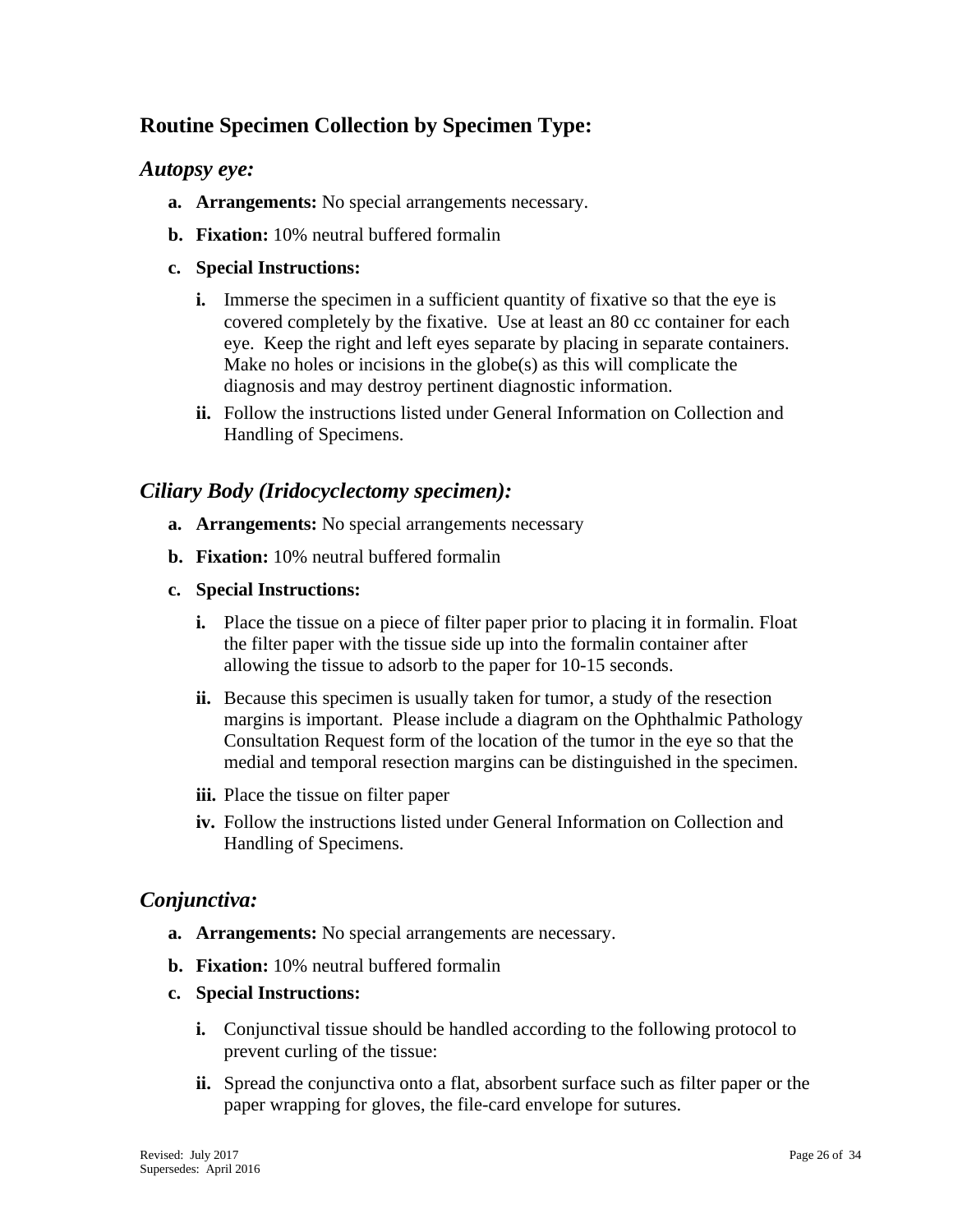## <span id="page-25-0"></span>**Routine Specimen Collection by Specimen Type:**

## <span id="page-25-1"></span>*Autopsy eye:*

- **a. Arrangements:** No special arrangements necessary.
- **b. Fixation:** 10% neutral buffered formalin

#### **c. Special Instructions:**

- **i.** Immerse the specimen in a sufficient quantity of fixative so that the eye is covered completely by the fixative. Use at least an 80 cc container for each eye. Keep the right and left eyes separate by placing in separate containers. Make no holes or incisions in the globe(s) as this will complicate the diagnosis and may destroy pertinent diagnostic information.
- **ii.** Follow the instructions listed under General Information on Collection and Handling of Specimens.

## <span id="page-25-2"></span>*Ciliary Body (Iridocyclectomy specimen):*

- **a. Arrangements:** No special arrangements necessary
- **b. Fixation:** 10% neutral buffered formalin
- **c. Special Instructions:**
	- **i.** Place the tissue on a piece of filter paper prior to placing it in formalin. Float the filter paper with the tissue side up into the formalin container after allowing the tissue to adsorb to the paper for 10-15 seconds.
	- **ii.** Because this specimen is usually taken for tumor, a study of the resection margins is important. Please include a diagram on the Ophthalmic Pathology Consultation Request form of the location of the tumor in the eye so that the medial and temporal resection margins can be distinguished in the specimen.
	- **iii.** Place the tissue on filter paper
	- **iv.** Follow the instructions listed under General Information on Collection and Handling of Specimens.

## <span id="page-25-3"></span>*Conjunctiva:*

- **a. Arrangements:** No special arrangements are necessary.
- **b. Fixation:** 10% neutral buffered formalin
- **c. Special Instructions:**
	- **i.** Conjunctival tissue should be handled according to the following protocol to prevent curling of the tissue:
	- **ii.** Spread the conjunctiva onto a flat, absorbent surface such as filter paper or the paper wrapping for gloves, the file-card envelope for sutures.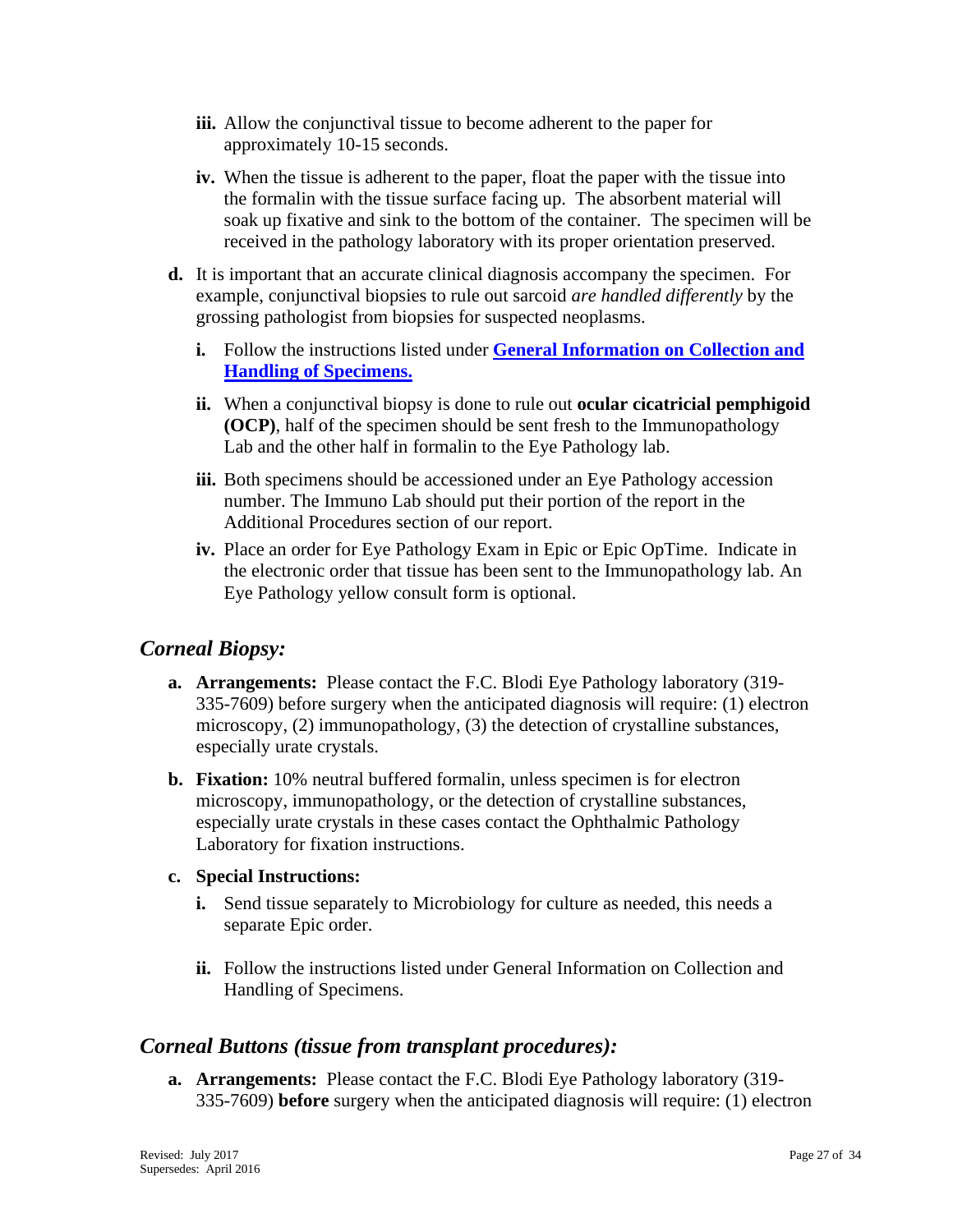- **iii.** Allow the conjunctival tissue to become adherent to the paper for approximately 10-15 seconds.
- **iv.** When the tissue is adherent to the paper, float the paper with the tissue into the formalin with the tissue surface facing up. The absorbent material will soak up fixative and sink to the bottom of the container. The specimen will be received in the pathology laboratory with its proper orientation preserved.
- **d.** It is important that an accurate clinical diagnosis accompany the specimen. For example, conjunctival biopsies to rule out sarcoid *are handled differently* by the grossing pathologist from biopsies for suspected neoplasms.
	- **i.** Follow the instructions listed under **[General Information on Collection and](#page-3-1)  [Handling of Specimens.](#page-3-1)**
	- **ii.** When a conjunctival biopsy is done to rule out **ocular cicatricial pemphigoid (OCP)**, half of the specimen should be sent fresh to the Immunopathology Lab and the other half in formalin to the Eye Pathology lab.
	- **iii.** Both specimens should be accessioned under an Eye Pathology accession number. The Immuno Lab should put their portion of the report in the Additional Procedures section of our report.
	- **iv.** Place an order for Eye Pathology Exam in Epic or Epic OpTime. Indicate in the electronic order that tissue has been sent to the Immunopathology lab. An Eye Pathology yellow consult form is optional.

## <span id="page-26-0"></span>*Corneal Biopsy:*

- **a. Arrangements:** Please contact the F.C. Blodi Eye Pathology laboratory (319- 335-7609) before surgery when the anticipated diagnosis will require: (1) electron microscopy, (2) immunopathology, (3) the detection of crystalline substances, especially urate crystals.
- **b. Fixation:** 10% neutral buffered formalin, unless specimen is for electron microscopy, immunopathology, or the detection of crystalline substances, especially urate crystals in these cases contact the Ophthalmic Pathology Laboratory for fixation instructions.

## **c. Special Instructions:**

- **i.** Send tissue separately to Microbiology for culture as needed, this needs a separate Epic order.
- **ii.** Follow the instructions listed under General Information on Collection and Handling of Specimens.

## <span id="page-26-1"></span>*Corneal Buttons (tissue from transplant procedures):*

**a. Arrangements:** Please contact the F.C. Blodi Eye Pathology laboratory (319- 335-7609) **before** surgery when the anticipated diagnosis will require: (1) electron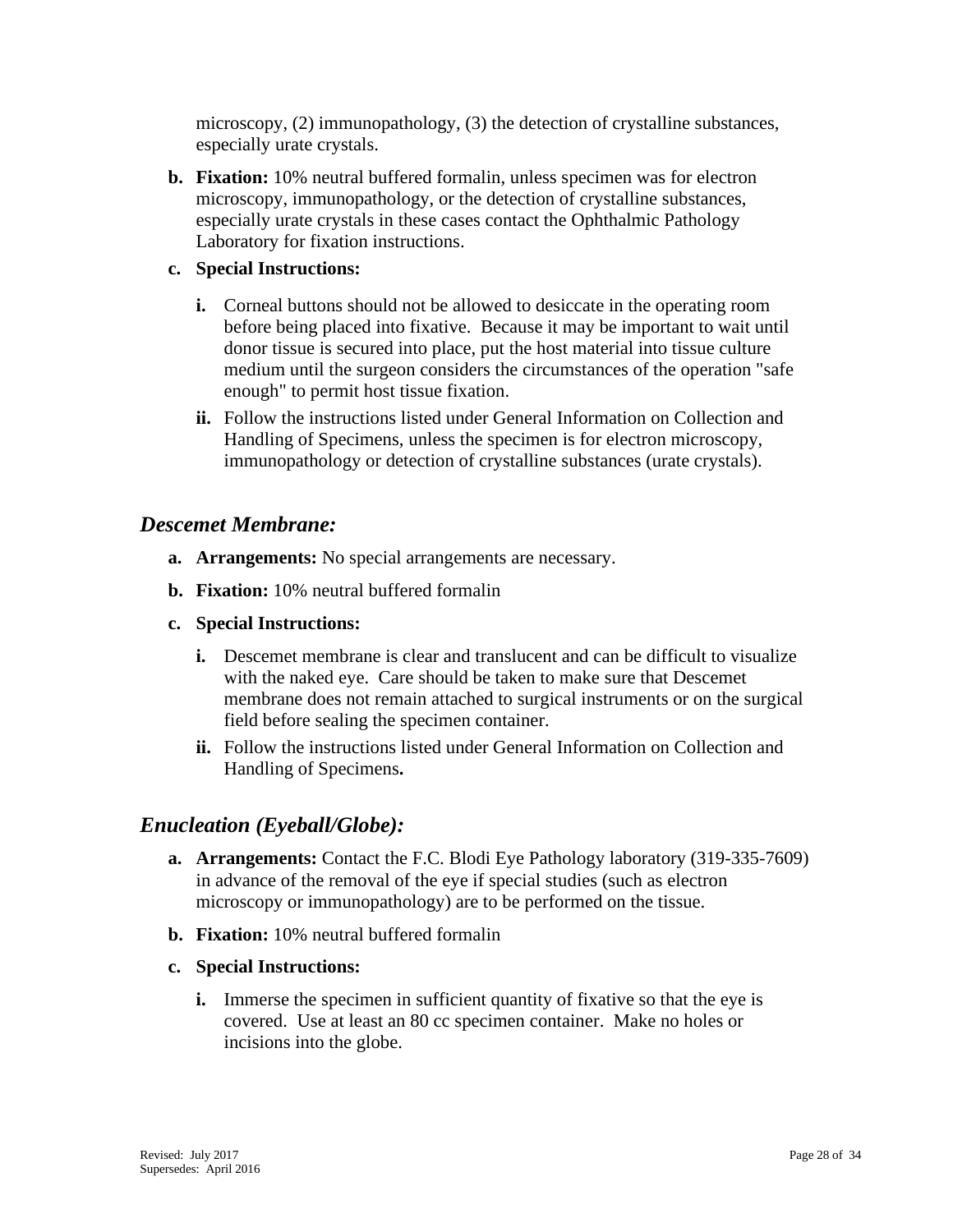microscopy, (2) immunopathology, (3) the detection of crystalline substances, especially urate crystals.

**b. Fixation:** 10% neutral buffered formalin, unless specimen was for electron microscopy, immunopathology, or the detection of crystalline substances, especially urate crystals in these cases contact the Ophthalmic Pathology Laboratory for fixation instructions.

#### **c. Special Instructions:**

- **i.** Corneal buttons should not be allowed to desiccate in the operating room before being placed into fixative. Because it may be important to wait until donor tissue is secured into place, put the host material into tissue culture medium until the surgeon considers the circumstances of the operation "safe enough" to permit host tissue fixation.
- **ii.** Follow the instructions listed under General Information on Collection and Handling of Specimens, unless the specimen is for electron microscopy, immunopathology or detection of crystalline substances (urate crystals).

## <span id="page-27-0"></span>*Descemet Membrane:*

- **a. Arrangements:** No special arrangements are necessary.
- **b. Fixation:** 10% neutral buffered formalin
- **c. Special Instructions:**
	- **i.** Descemet membrane is clear and translucent and can be difficult to visualize with the naked eye. Care should be taken to make sure that Descemet membrane does not remain attached to surgical instruments or on the surgical field before sealing the specimen container.
	- **ii.** Follow the instructions listed under General Information on Collection and Handling of Specimens**.**

## <span id="page-27-1"></span>*Enucleation (Eyeball/Globe):*

- **a. Arrangements:** Contact the F.C. Blodi Eye Pathology laboratory (319-335-7609) in advance of the removal of the eye if special studies (such as electron microscopy or immunopathology) are to be performed on the tissue.
- **b. Fixation:** 10% neutral buffered formalin
- **c. Special Instructions:**
	- **i.** Immerse the specimen in sufficient quantity of fixative so that the eye is covered. Use at least an 80 cc specimen container. Make no holes or incisions into the globe.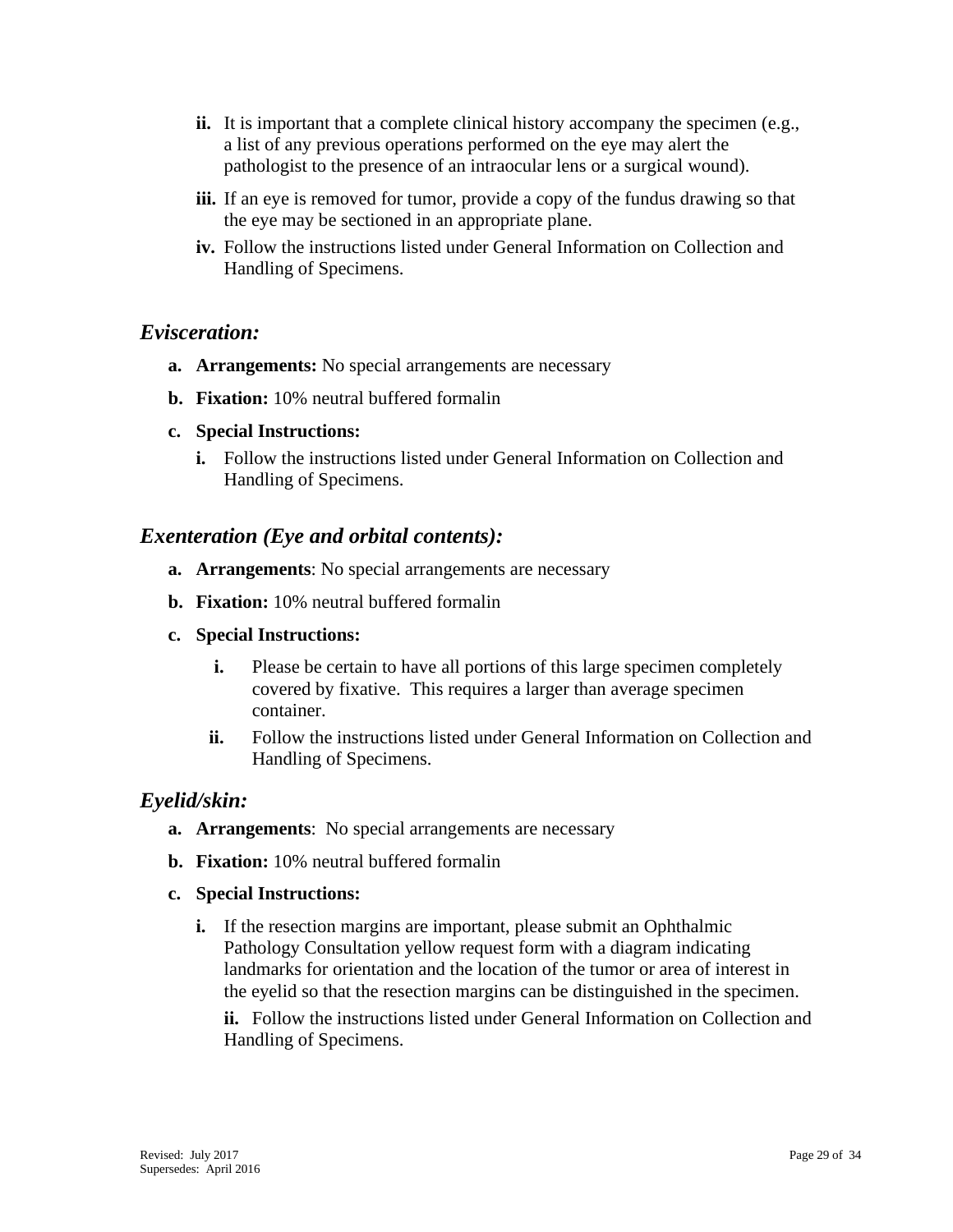- **ii.** It is important that a complete clinical history accompany the specimen (e.g., a list of any previous operations performed on the eye may alert the pathologist to the presence of an intraocular lens or a surgical wound).
- **iii.** If an eye is removed for tumor, provide a copy of the fundus drawing so that the eye may be sectioned in an appropriate plane.
- **iv.** Follow the instructions listed under General Information on Collection and Handling of Specimens.

## <span id="page-28-0"></span>*Evisceration:*

- **a. Arrangements:** No special arrangements are necessary
- **b. Fixation:** 10% neutral buffered formalin
- **c. Special Instructions:**
	- **i.** Follow the instructions listed under General Information on Collection and Handling of Specimens.

## <span id="page-28-1"></span>*Exenteration (Eye and orbital contents):*

- **a. Arrangements**: No special arrangements are necessary
- **b. Fixation:** 10% neutral buffered formalin
- **c. Special Instructions:**
	- **i.** Please be certain to have all portions of this large specimen completely covered by fixative. This requires a larger than average specimen container.
	- **ii.** Follow the instructions listed under General Information on Collection and Handling of Specimens.

## <span id="page-28-2"></span>*Eyelid/skin:*

- **a. Arrangements**: No special arrangements are necessary
- **b. Fixation:** 10% neutral buffered formalin

#### **c. Special Instructions:**

**i.** If the resection margins are important, please submit an Ophthalmic Pathology Consultation yellow request form with a diagram indicating landmarks for orientation and the location of the tumor or area of interest in the eyelid so that the resection margins can be distinguished in the specimen.

**ii.** Follow the instructions listed under General Information on Collection and Handling of Specimens.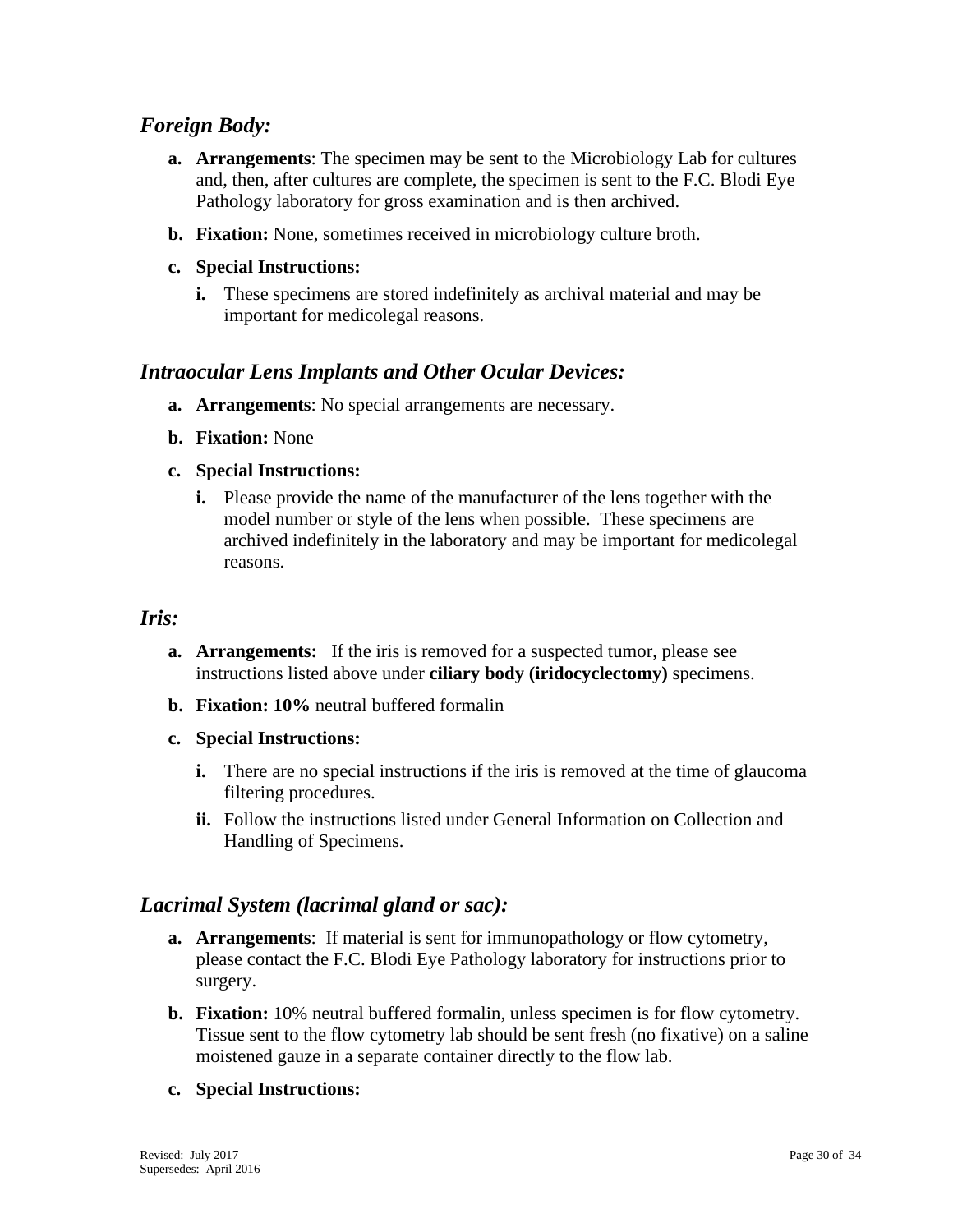## <span id="page-29-0"></span>*Foreign Body:*

- **a. Arrangements**: The specimen may be sent to the Microbiology Lab for cultures and, then, after cultures are complete, the specimen is sent to the F.C. Blodi Eye Pathology laboratory for gross examination and is then archived.
- **b. Fixation:** None, sometimes received in microbiology culture broth.
- **c. Special Instructions:**
	- **i.** These specimens are stored indefinitely as archival material and may be important for medicolegal reasons.

## <span id="page-29-1"></span>*Intraocular Lens Implants and Other Ocular Devices:*

- **a. Arrangements**: No special arrangements are necessary.
- **b. Fixation:** None
- **c. Special Instructions:** 
	- **i.** Please provide the name of the manufacturer of the lens together with the model number or style of the lens when possible. These specimens are archived indefinitely in the laboratory and may be important for medicolegal reasons.

#### <span id="page-29-2"></span>*Iris:*

- **a. Arrangements:** If the iris is removed for a suspected tumor, please see instructions listed above under **ciliary body (iridocyclectomy)** specimens.
- **b. Fixation: 10%** neutral buffered formalin
- **c. Special Instructions:**
	- **i.** There are no special instructions if the iris is removed at the time of glaucoma filtering procedures.
	- **ii.** Follow the instructions listed under General Information on Collection and Handling of Specimens.

## <span id="page-29-3"></span>*Lacrimal System (lacrimal gland or sac):*

- **a. Arrangements**: If material is sent for immunopathology or flow cytometry, please contact the F.C. Blodi Eye Pathology laboratory for instructions prior to surgery.
- **b. Fixation:** 10% neutral buffered formalin, unless specimen is for flow cytometry. Tissue sent to the flow cytometry lab should be sent fresh (no fixative) on a saline moistened gauze in a separate container directly to the flow lab.
- **c. Special Instructions:**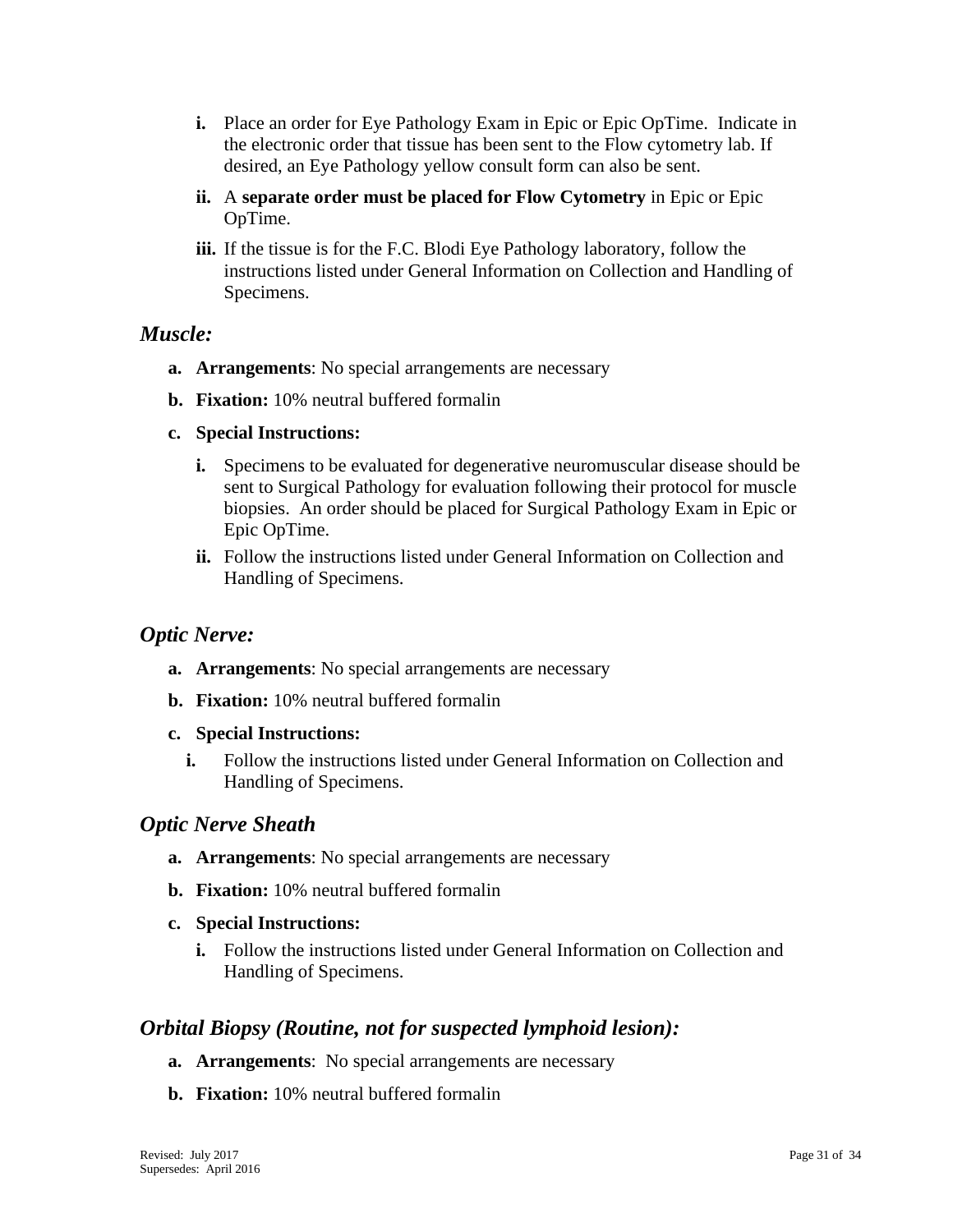- **i.** Place an order for Eye Pathology Exam in Epic or Epic OpTime. Indicate in the electronic order that tissue has been sent to the Flow cytometry lab. If desired, an Eye Pathology yellow consult form can also be sent.
- **ii.** A **separate order must be placed for Flow Cytometry** in Epic or Epic OpTime.
- **iii.** If the tissue is for the F.C. Blodi Eye Pathology laboratory, follow the instructions listed under General Information on Collection and Handling of Specimens.

## <span id="page-30-0"></span>*Muscle:*

- **a. Arrangements**: No special arrangements are necessary
- **b. Fixation:** 10% neutral buffered formalin
- **c. Special Instructions:**
	- **i.** Specimens to be evaluated for degenerative neuromuscular disease should be sent to Surgical Pathology for evaluation following their protocol for muscle biopsies. An order should be placed for Surgical Pathology Exam in Epic or Epic OpTime.
	- **ii.** Follow the instructions listed under General Information on Collection and Handling of Specimens.

## <span id="page-30-1"></span>*Optic Nerve:*

- **a. Arrangements**: No special arrangements are necessary
- **b. Fixation:** 10% neutral buffered formalin
- **c. Special Instructions:**
	- **i.** Follow the instructions listed under General Information on Collection and Handling of Specimens.

## <span id="page-30-2"></span>*Optic Nerve Sheath*

- **a. Arrangements**: No special arrangements are necessary
- **b. Fixation:** 10% neutral buffered formalin
- **c. Special Instructions:**
	- **i.** Follow the instructions listed under General Information on Collection and Handling of Specimens.

## <span id="page-30-3"></span>*Orbital Biopsy (Routine, not for suspected lymphoid lesion):*

- **a. Arrangements**: No special arrangements are necessary
- **b. Fixation:** 10% neutral buffered formalin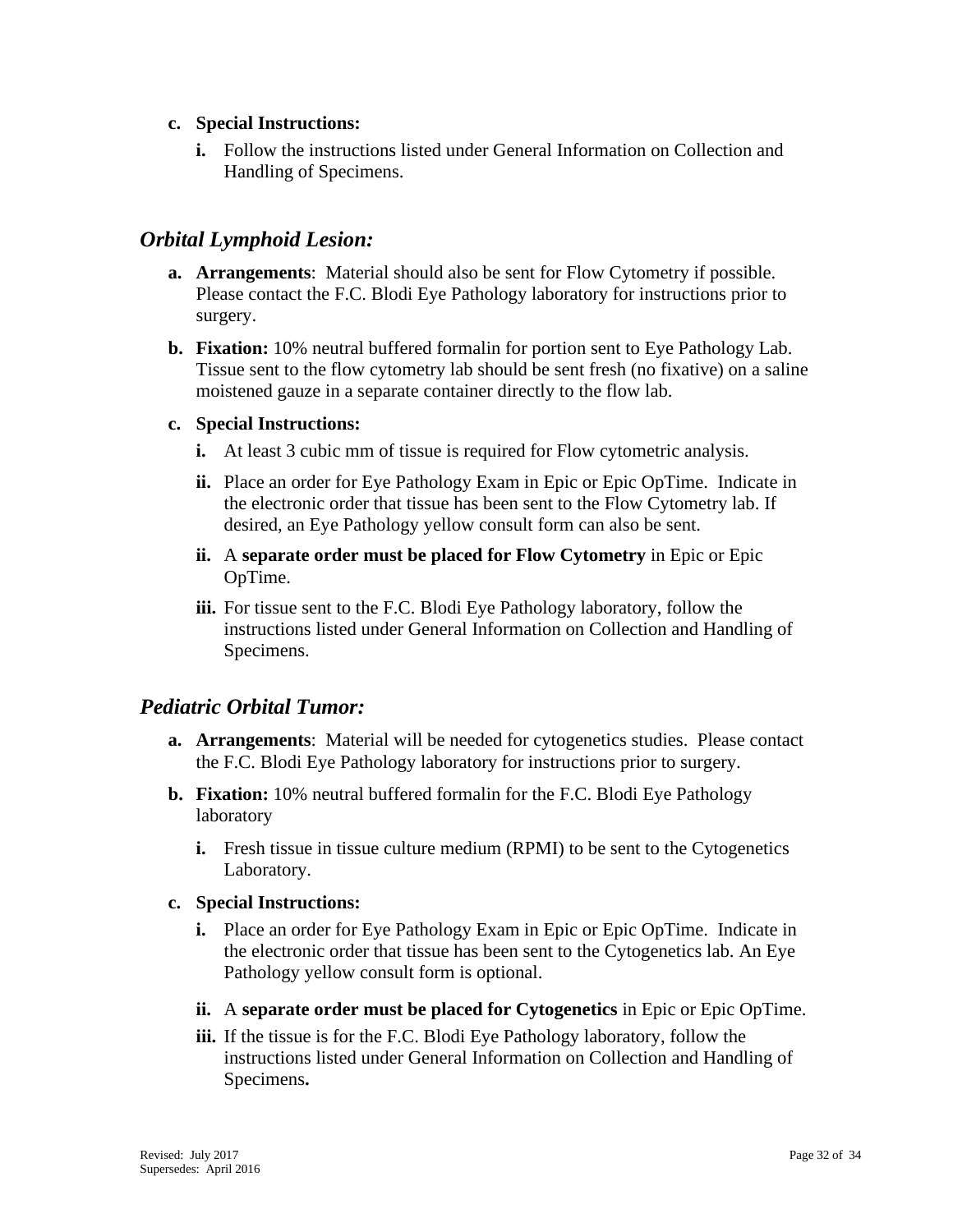#### **c. Special Instructions:**

**i.** Follow the instructions listed under General Information on Collection and Handling of Specimens.

## <span id="page-31-0"></span>*Orbital Lymphoid Lesion:*

- **a. Arrangements**: Material should also be sent for Flow Cytometry if possible. Please contact the F.C. Blodi Eye Pathology laboratory for instructions prior to surgery.
- **b. Fixation:** 10% neutral buffered formalin for portion sent to Eye Pathology Lab. Tissue sent to the flow cytometry lab should be sent fresh (no fixative) on a saline moistened gauze in a separate container directly to the flow lab.

#### **c. Special Instructions:**

- **i.** At least 3 cubic mm of tissue is required for Flow cytometric analysis.
- **ii.** Place an order for Eye Pathology Exam in Epic or Epic OpTime. Indicate in the electronic order that tissue has been sent to the Flow Cytometry lab. If desired, an Eye Pathology yellow consult form can also be sent.
- **ii.** A **separate order must be placed for Flow Cytometry** in Epic or Epic OpTime.
- **iii.** For tissue sent to the F.C. Blodi Eye Pathology laboratory, follow the instructions listed under General Information on Collection and Handling of Specimens.

## <span id="page-31-1"></span>*Pediatric Orbital Tumor:*

- **a. Arrangements**: Material will be needed for cytogenetics studies. Please contact the F.C. Blodi Eye Pathology laboratory for instructions prior to surgery.
- **b. Fixation:** 10% neutral buffered formalin for the F.C. Blodi Eye Pathology laboratory
	- **i.** Fresh tissue in tissue culture medium (RPMI) to be sent to the Cytogenetics Laboratory.

#### **c. Special Instructions:**

- **i.** Place an order for Eye Pathology Exam in Epic or Epic OpTime. Indicate in the electronic order that tissue has been sent to the Cytogenetics lab. An Eye Pathology yellow consult form is optional.
- **ii.** A **separate order must be placed for Cytogenetics** in Epic or Epic OpTime.
- **iii.** If the tissue is for the F.C. Blodi Eye Pathology laboratory, follow the instructions listed under General Information on Collection and Handling of Specimens**.**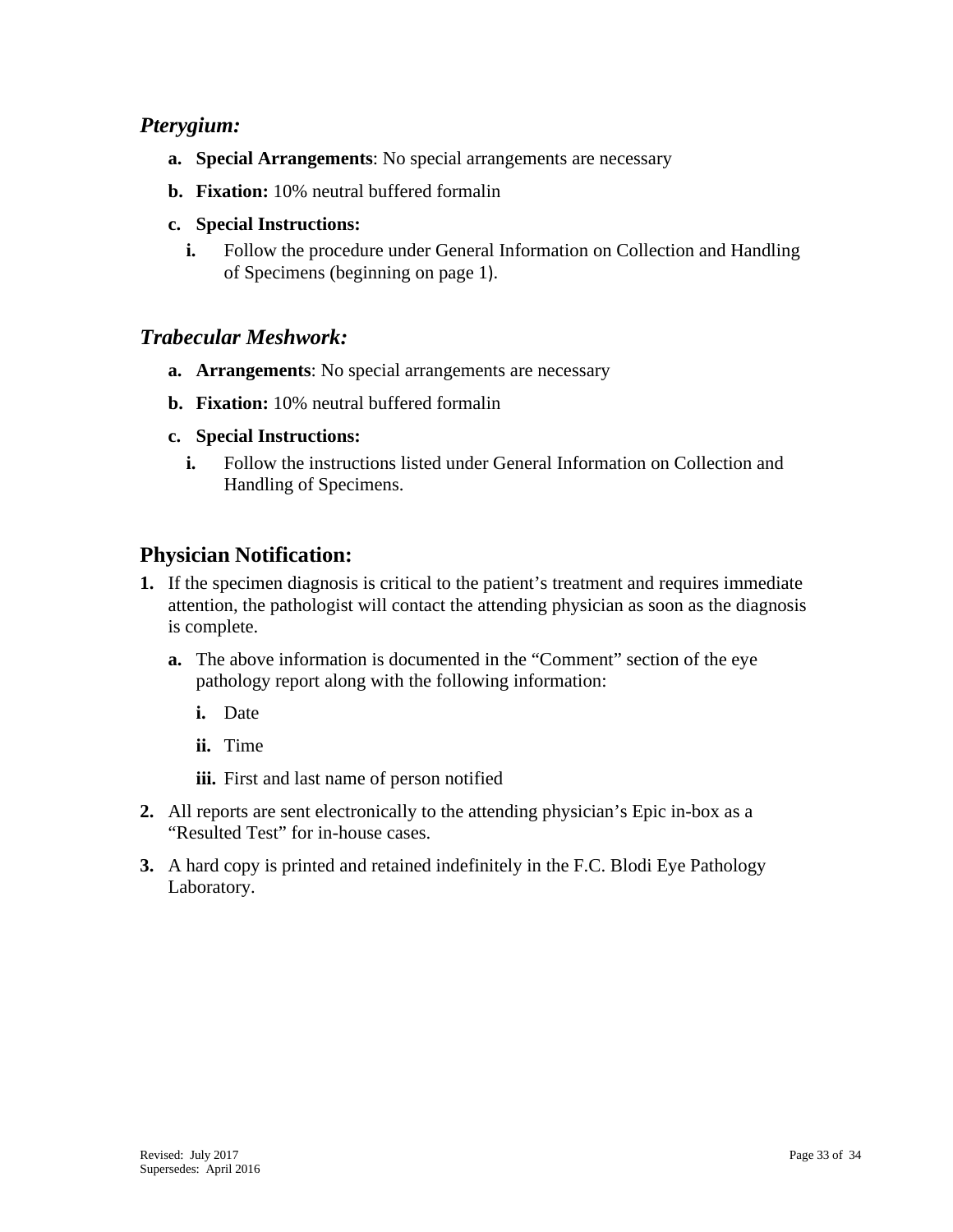## <span id="page-32-0"></span>*Pterygium:*

- **a. Special Arrangements**: No special arrangements are necessary
- **b. Fixation:** 10% neutral buffered formalin
- **c. Special Instructions:**
	- **i.** Follow the procedure under General Information on Collection and Handling of Specimens (beginning on page 1).

## <span id="page-32-1"></span>*Trabecular Meshwork:*

- **a. Arrangements**: No special arrangements are necessary
- **b. Fixation:** 10% neutral buffered formalin
- **c. Special Instructions:**
	- **i.** Follow the instructions listed under General Information on Collection and Handling of Specimens.

## <span id="page-32-2"></span>**Physician Notification:**

- **1.** If the specimen diagnosis is critical to the patient's treatment and requires immediate attention, the pathologist will contact the attending physician as soon as the diagnosis is complete.
	- **a.** The above information is documented in the "Comment" section of the eye pathology report along with the following information:
		- **i.** Date
		- **ii.** Time
		- **iii.** First and last name of person notified
- **2.** All reports are sent electronically to the attending physician's Epic in-box as a "Resulted Test" for in-house cases.
- **3.** A hard copy is printed and retained indefinitely in the F.C. Blodi Eye Pathology Laboratory.